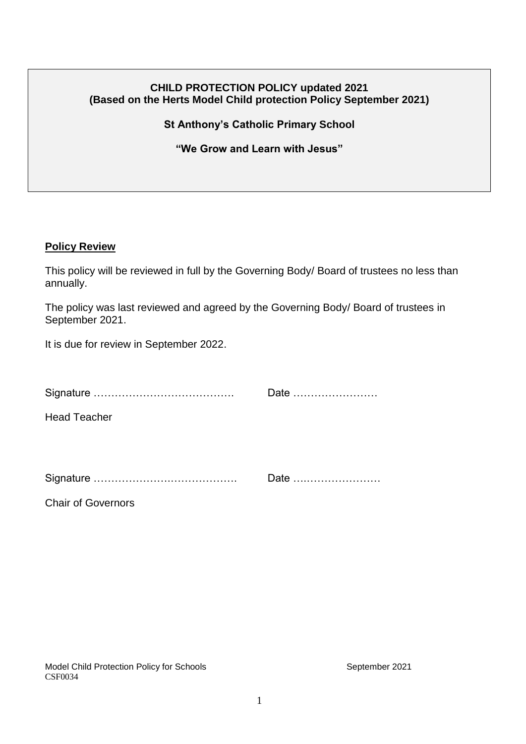### **CHILD PROTECTION POLICY updated 2021 (Based on the Herts Model Child protection Policy September 2021)**

**St Anthony's Catholic Primary School**

**"We Grow and Learn with Jesus"**

#### **Policy Review**

Chair of Governors

This policy will be reviewed in full by the Governing Body/ Board of trustees no less than annually.

The policy was last reviewed and agreed by the Governing Body/ Board of trustees in September 2021.

It is due for review in September 2022.

|                     | Date |
|---------------------|------|
| <b>Head Teacher</b> |      |
|                     | Date |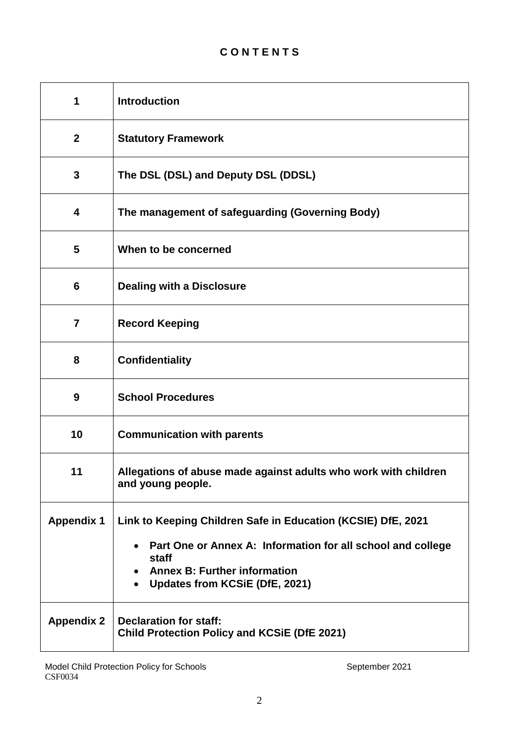# **C O N T E N T S**

| 1                 | <b>Introduction</b>                                                                                                                           |
|-------------------|-----------------------------------------------------------------------------------------------------------------------------------------------|
| $\mathbf{2}$      | <b>Statutory Framework</b>                                                                                                                    |
| $\mathbf{3}$      | The DSL (DSL) and Deputy DSL (DDSL)                                                                                                           |
| 4                 | The management of safeguarding (Governing Body)                                                                                               |
| 5                 | When to be concerned                                                                                                                          |
| 6                 | <b>Dealing with a Disclosure</b>                                                                                                              |
| $\overline{7}$    | <b>Record Keeping</b>                                                                                                                         |
| 8                 | <b>Confidentiality</b>                                                                                                                        |
| 9                 | <b>School Procedures</b>                                                                                                                      |
| 10                | <b>Communication with parents</b>                                                                                                             |
| 11                | Allegations of abuse made against adults who work with children<br>and young people.                                                          |
| <b>Appendix 1</b> | Link to Keeping Children Safe in Education (KCSIE) DfE, 2021                                                                                  |
|                   | Part One or Annex A: Information for all school and college<br>staff<br><b>Annex B: Further information</b><br>Updates from KCSiE (DfE, 2021) |
| <b>Appendix 2</b> | <b>Declaration for staff:</b><br><b>Child Protection Policy and KCSIE (DfE 2021)</b>                                                          |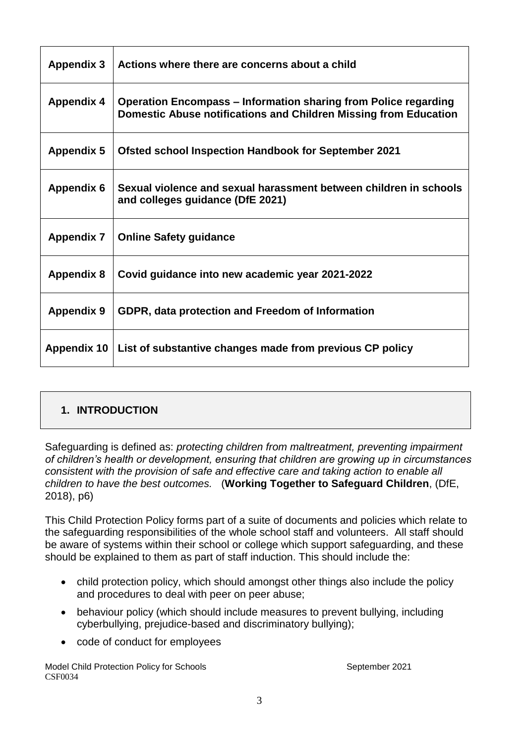| <b>Appendix 3</b> | Actions where there are concerns about a child                                                                                             |
|-------------------|--------------------------------------------------------------------------------------------------------------------------------------------|
| <b>Appendix 4</b> | <b>Operation Encompass – Information sharing from Police regarding</b><br>Domestic Abuse notifications and Children Missing from Education |
| <b>Appendix 5</b> | <b>Ofsted school Inspection Handbook for September 2021</b>                                                                                |
| <b>Appendix 6</b> | Sexual violence and sexual harassment between children in schools<br>and colleges guidance (DfE 2021)                                      |
| <b>Appendix 7</b> | <b>Online Safety guidance</b>                                                                                                              |
| <b>Appendix 8</b> | Covid guidance into new academic year 2021-2022                                                                                            |
| <b>Appendix 9</b> | GDPR, data protection and Freedom of Information                                                                                           |
| Appendix 10       | List of substantive changes made from previous CP policy                                                                                   |

# **1. INTRODUCTION**

Safeguarding is defined as: *protecting children from maltreatment, preventing impairment of children's health or development, ensuring that children are growing up in circumstances consistent with the provision of safe and effective care and taking action to enable all children to have the best outcomes.* (**Working Together to Safeguard Children**, (DfE, 2018), p6)

This Child Protection Policy forms part of a suite of documents and policies which relate to the safeguarding responsibilities of the whole school staff and volunteers. All staff should be aware of systems within their school or college which support safeguarding, and these should be explained to them as part of staff induction. This should include the:

- child protection policy, which should amongst other things also include the policy and procedures to deal with peer on peer abuse;
- behaviour policy (which should include measures to prevent bullying, including cyberbullying, prejudice-based and discriminatory bullying);
- code of conduct for employees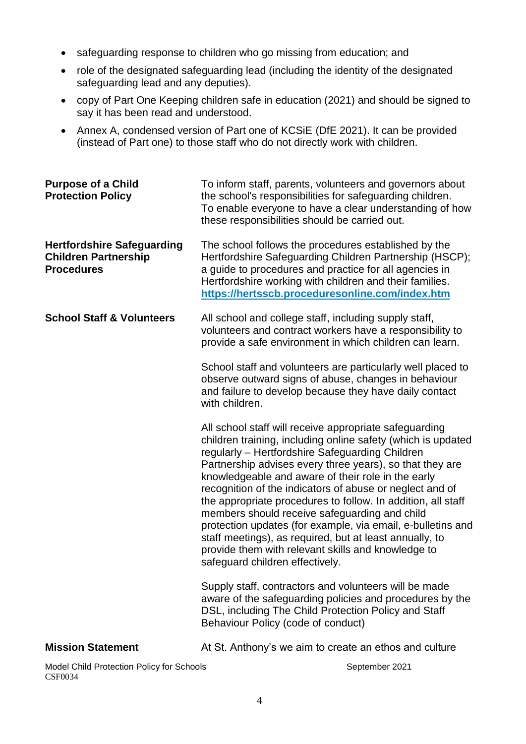- safeguarding response to children who go missing from education; and
- role of the designated safeguarding lead (including the identity of the designated safeguarding lead and any deputies).
- copy of Part One Keeping children safe in education (2021) and should be signed to say it has been read and understood.
- Annex A, condensed version of Part one of KCSiE (DfE 2021). It can be provided (instead of Part one) to those staff who do not directly work with children.

| <b>Purpose of a Child</b><br><b>Protection Policy</b>                                 | To inform staff, parents, volunteers and governors about<br>the school's responsibilities for safeguarding children.<br>To enable everyone to have a clear understanding of how<br>these responsibilities should be carried out.                                                                                                                                                                                                                                                                                                                                                                                                                                                            |
|---------------------------------------------------------------------------------------|---------------------------------------------------------------------------------------------------------------------------------------------------------------------------------------------------------------------------------------------------------------------------------------------------------------------------------------------------------------------------------------------------------------------------------------------------------------------------------------------------------------------------------------------------------------------------------------------------------------------------------------------------------------------------------------------|
| <b>Hertfordshire Safeguarding</b><br><b>Children Partnership</b><br><b>Procedures</b> | The school follows the procedures established by the<br>Hertfordshire Safeguarding Children Partnership (HSCP);<br>a guide to procedures and practice for all agencies in<br>Hertfordshire working with children and their families.<br>https://hertsscb.proceduresonline.com/index.htm                                                                                                                                                                                                                                                                                                                                                                                                     |
| <b>School Staff &amp; Volunteers</b>                                                  | All school and college staff, including supply staff,<br>volunteers and contract workers have a responsibility to<br>provide a safe environment in which children can learn.                                                                                                                                                                                                                                                                                                                                                                                                                                                                                                                |
|                                                                                       | School staff and volunteers are particularly well placed to<br>observe outward signs of abuse, changes in behaviour<br>and failure to develop because they have daily contact<br>with children.                                                                                                                                                                                                                                                                                                                                                                                                                                                                                             |
|                                                                                       | All school staff will receive appropriate safeguarding<br>children training, including online safety (which is updated<br>regularly - Hertfordshire Safeguarding Children<br>Partnership advises every three years), so that they are<br>knowledgeable and aware of their role in the early<br>recognition of the indicators of abuse or neglect and of<br>the appropriate procedures to follow. In addition, all staff<br>members should receive safeguarding and child<br>protection updates (for example, via email, e-bulletins and<br>staff meetings), as required, but at least annually, to<br>provide them with relevant skills and knowledge to<br>safeguard children effectively. |
|                                                                                       | Supply staff, contractors and volunteers will be made<br>aware of the safeguarding policies and procedures by the<br>DSL, including The Child Protection Policy and Staff<br>Behaviour Policy (code of conduct)                                                                                                                                                                                                                                                                                                                                                                                                                                                                             |
| <b>Mission Statement</b>                                                              | At St. Anthony's we aim to create an ethos and culture                                                                                                                                                                                                                                                                                                                                                                                                                                                                                                                                                                                                                                      |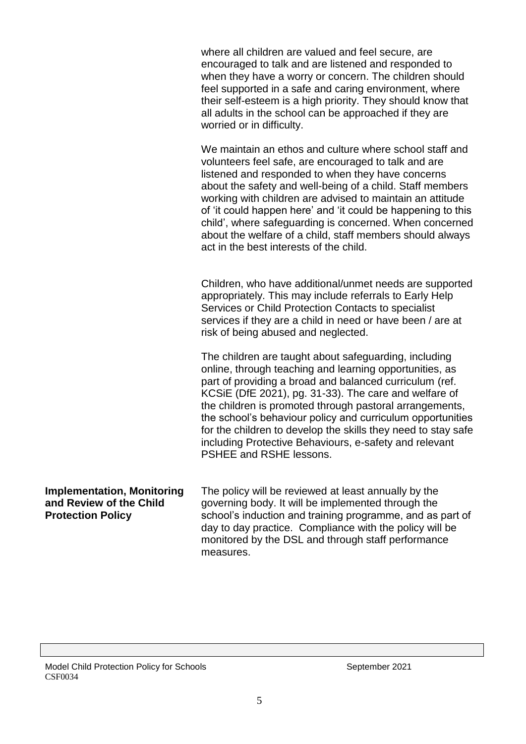where all children are valued and feel secure, are encouraged to talk and are listened and responded to when they have a worry or concern. The children should feel supported in a safe and caring environment, where their self-esteem is a high priority. They should know that all adults in the school can be approached if they are worried or in difficulty.

We maintain an ethos and culture where school staff and volunteers feel safe, are encouraged to talk and are listened and responded to when they have concerns about the safety and well-being of a child. Staff members working with children are advised to maintain an attitude of 'it could happen here' and 'it could be happening to this child', where safeguarding is concerned. When concerned about the welfare of a child, staff members should always act in the best interests of the child.

Children, who have additional/unmet needs are supported appropriately. This may include referrals to Early Help Services or Child Protection Contacts to specialist services if they are a child in need or have been / are at risk of being abused and neglected.

The children are taught about safeguarding, including online, through teaching and learning opportunities, as part of providing a broad and balanced curriculum (ref. KCSiE (DfE 2021), pg. 31-33). The care and welfare of the children is promoted through pastoral arrangements, the school's behaviour policy and curriculum opportunities for the children to develop the skills they need to stay safe including Protective Behaviours, e-safety and relevant PSHEE and RSHE lessons.

**Implementation, Monitoring and Review of the Child Protection Policy** The policy will be reviewed at least annually by the governing body. It will be implemented through the school's induction and training programme, and as part of day to day practice. Compliance with the policy will be monitored by the DSL and through staff performance measures.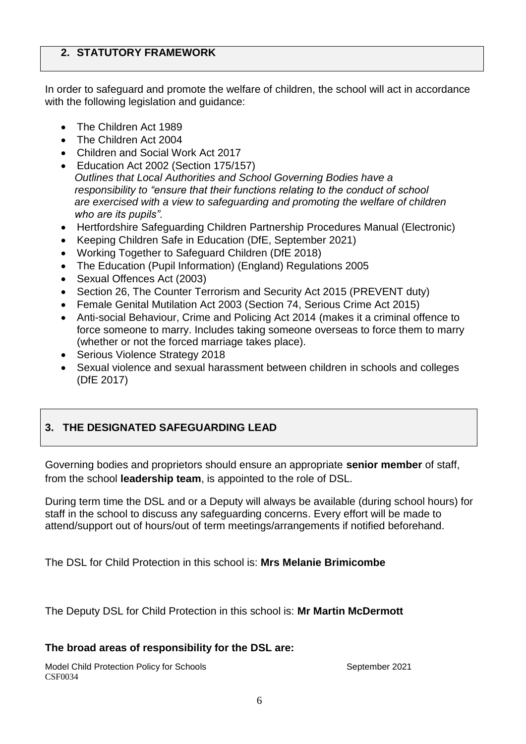### **2. STATUTORY FRAMEWORK**

In order to safeguard and promote the welfare of children, the school will act in accordance with the following legislation and guidance:

- The Children Act 1989
- The Children Act 2004
- Children and Social Work Act 2017
- Education Act 2002 (Section 175/157) *Outlines that Local Authorities and School Governing Bodies have a responsibility to "ensure that their functions relating to the conduct of school are exercised with a view to safeguarding and promoting the welfare of children who are its pupils".*
- Hertfordshire Safeguarding Children Partnership Procedures Manual (Electronic)
- Keeping Children Safe in Education (DfE, September 2021)
- Working Together to Safeguard Children (DfE 2018)
- The Education (Pupil Information) (England) Regulations 2005
- Sexual Offences Act (2003)
- Section 26, The Counter Terrorism and Security Act 2015 (PREVENT duty)
- Female Genital Mutilation Act 2003 (Section 74, Serious Crime Act 2015)
- Anti-social Behaviour, Crime and Policing Act 2014 (makes it a criminal offence to force someone to marry. Includes taking someone overseas to force them to marry (whether or not the forced marriage takes place).
- Serious Violence Strategy 2018
- Sexual violence and sexual harassment between children in schools and colleges (DfE 2017)

# **3. THE DESIGNATED SAFEGUARDING LEAD**

Governing bodies and proprietors should ensure an appropriate **senior member** of staff, from the school **leadership team**, is appointed to the role of DSL.

During term time the DSL and or a Deputy will always be available (during school hours) for staff in the school to discuss any safeguarding concerns. Every effort will be made to attend/support out of hours/out of term meetings/arrangements if notified beforehand.

The DSL for Child Protection in this school is: **Mrs Melanie Brimicombe**

The Deputy DSL for Child Protection in this school is: **Mr Martin McDermott**

# **The broad areas of responsibility for the DSL are:**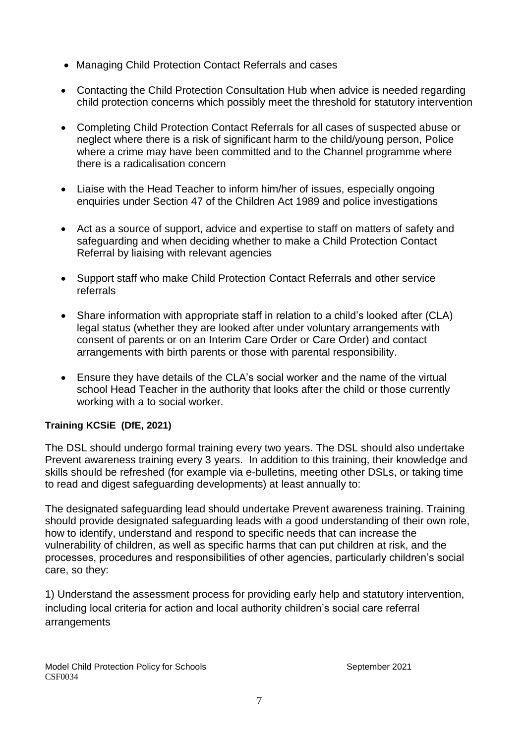- Managing Child Protection Contact Referrals and cases
- Contacting the Child Protection Consultation Hub when advice is needed regarding child protection concerns which possibly meet the threshold for statutory intervention
- Completing Child Protection Contact Referrals for all cases of suspected abuse or neglect where there is a risk of significant harm to the child/young person, Police where a crime may have been committed and to the Channel programme where there is a radicalisation concern
- Liaise with the Head Teacher to inform him/her of issues, especially ongoing enquiries under Section 47 of the Children Act 1989 and police investigations
- Act as a source of support, advice and expertise to staff on matters of safety and safeguarding and when deciding whether to make a Child Protection Contact Referral by liaising with relevant agencies
- Support staff who make Child Protection Contact Referrals and other service referrals
- Share information with appropriate staff in relation to a child's looked after (CLA) legal status (whether they are looked after under voluntary arrangements with consent of parents or on an Interim Care Order or Care Order) and contact arrangements with birth parents or those with parental responsibility.
- Ensure they have details of the CLA's social worker and the name of the virtual school Head Teacher in the authority that looks after the child or those currently working with a to social worker.

### **Training KCSiE (DfE, 2021)**

The DSL should undergo formal training every two years. The DSL should also undertake Prevent awareness training every 3 years. In addition to this training, their knowledge and skills should be refreshed (for example via e-bulletins, meeting other DSLs, or taking time to read and digest safeguarding developments) at least annually to:

The designated safeguarding lead should undertake Prevent awareness training. Training should provide designated safeguarding leads with a good understanding of their own role, how to identify, understand and respond to specific needs that can increase the vulnerability of children, as well as specific harms that can put children at risk, and the processes, procedures and responsibilities of other agencies, particularly children's social care, so they:

1) Understand the assessment process for providing early help and statutory intervention, including local criteria for action and local authority children's social care referral arrangements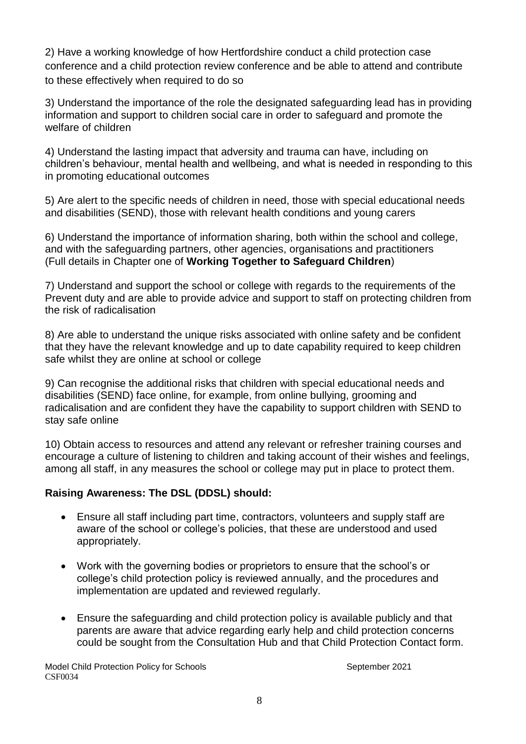2) Have a working knowledge of how Hertfordshire conduct a child protection case conference and a child protection review conference and be able to attend and contribute to these effectively when required to do so

3) Understand the importance of the role the designated safeguarding lead has in providing information and support to children social care in order to safeguard and promote the welfare of children

4) Understand the lasting impact that adversity and trauma can have, including on children's behaviour, mental health and wellbeing, and what is needed in responding to this in promoting educational outcomes

5) Are alert to the specific needs of children in need, those with special educational needs and disabilities (SEND), those with relevant health conditions and young carers

6) Understand the importance of information sharing, both within the school and college, and with the safeguarding partners, other agencies, organisations and practitioners (Full details in Chapter one of **Working Together to Safeguard Children**)

7) Understand and support the school or college with regards to the requirements of the Prevent duty and are able to provide advice and support to staff on protecting children from the risk of radicalisation

8) Are able to understand the unique risks associated with online safety and be confident that they have the relevant knowledge and up to date capability required to keep children safe whilst they are online at school or college

9) Can recognise the additional risks that children with special educational needs and disabilities (SEND) face online, for example, from online bullying, grooming and radicalisation and are confident they have the capability to support children with SEND to stay safe online

10) Obtain access to resources and attend any relevant or refresher training courses and encourage a culture of listening to children and taking account of their wishes and feelings, among all staff, in any measures the school or college may put in place to protect them.

### **Raising Awareness: The DSL (DDSL) should:**

- Ensure all staff including part time, contractors, volunteers and supply staff are aware of the school or college's policies, that these are understood and used appropriately.
- Work with the governing bodies or proprietors to ensure that the school's or college's child protection policy is reviewed annually, and the procedures and implementation are updated and reviewed regularly.
- Ensure the safeguarding and child protection policy is available publicly and that parents are aware that advice regarding early help and child protection concerns could be sought from the Consultation Hub and that Child Protection Contact form.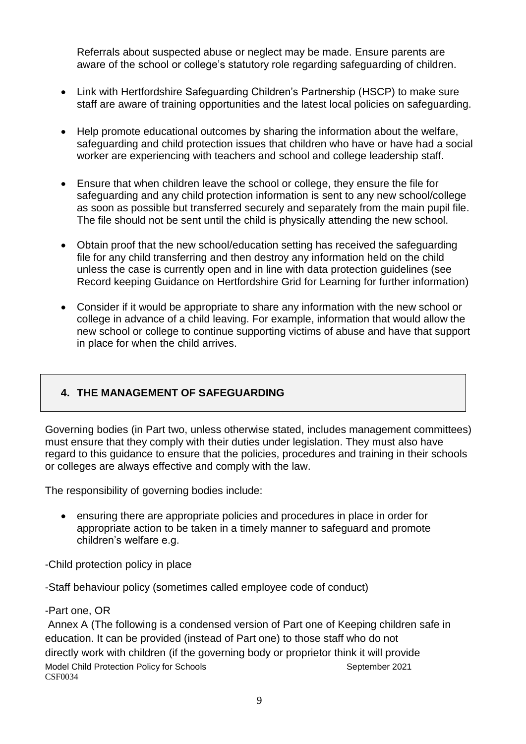Referrals about suspected abuse or neglect may be made. Ensure parents are aware of the school or college's statutory role regarding safeguarding of children.

- Link with Hertfordshire Safeguarding Children's Partnership (HSCP) to make sure staff are aware of training opportunities and the latest local policies on safeguarding.
- Help promote educational outcomes by sharing the information about the welfare, safeguarding and child protection issues that children who have or have had a social worker are experiencing with teachers and school and college leadership staff.
- Ensure that when children leave the school or college, they ensure the file for safeguarding and any child protection information is sent to any new school/college as soon as possible but transferred securely and separately from the main pupil file. The file should not be sent until the child is physically attending the new school.
- Obtain proof that the new school/education setting has received the safeguarding file for any child transferring and then destroy any information held on the child unless the case is currently open and in line with data protection guidelines (see Record keeping Guidance on Hertfordshire Grid for Learning for further information)
- Consider if it would be appropriate to share any information with the new school or college in advance of a child leaving. For example, information that would allow the new school or college to continue supporting victims of abuse and have that support in place for when the child arrives.

# **4. THE MANAGEMENT OF SAFEGUARDING**

Governing bodies (in Part two, unless otherwise stated, includes management committees) must ensure that they comply with their duties under legislation. They must also have regard to this guidance to ensure that the policies, procedures and training in their schools or colleges are always effective and comply with the law.

The responsibility of governing bodies include:

 ensuring there are appropriate policies and procedures in place in order for appropriate action to be taken in a timely manner to safeguard and promote children's welfare e.g.

-Child protection policy in place

-Staff behaviour policy (sometimes called employee code of conduct)

### -Part one, OR

Model Child Protection Policy for Schools September 2021 CSF0034 Annex A (The following is a condensed version of Part one of Keeping children safe in education. It can be provided (instead of Part one) to those staff who do not directly work with children (if the governing body or proprietor think it will provide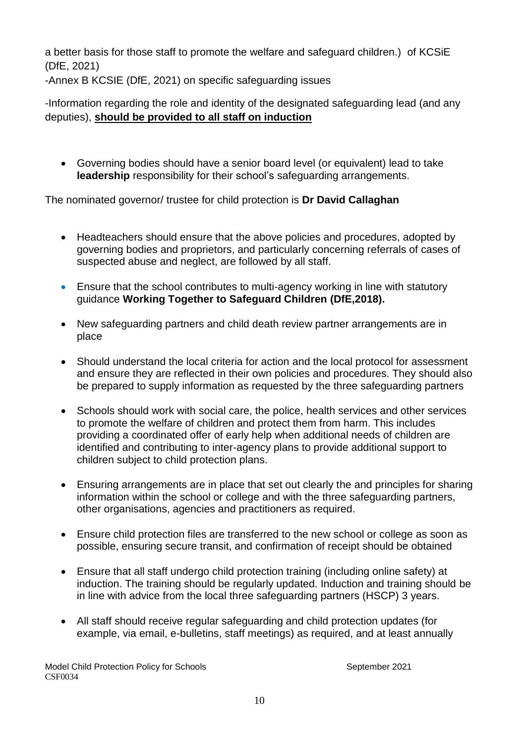a better basis for those staff to promote the welfare and safeguard children.) of KCSiE (DfE, 2021)

-Annex B KCSIE (DfE, 2021) on specific safeguarding issues

-Information regarding the role and identity of the designated safeguarding lead (and any deputies), **should be provided to all staff on induction**

 Governing bodies should have a senior board level (or equivalent) lead to take **leadership** responsibility for their school's safeguarding arrangements.

The nominated governor/ trustee for child protection is **Dr David Callaghan**

- Headteachers should ensure that the above policies and procedures, adopted by governing bodies and proprietors, and particularly concerning referrals of cases of suspected abuse and neglect, are followed by all staff.
- Ensure that the school contributes to multi-agency working in line with statutory guidance **Working Together to Safeguard Children (DfE,2018).**
- New safeguarding partners and child death review partner arrangements are in place
- Should understand the local criteria for action and the local protocol for assessment and ensure they are reflected in their own policies and procedures. They should also be prepared to supply information as requested by the three safeguarding partners
- Schools should work with social care, the police, health services and other services to promote the welfare of children and protect them from harm. This includes providing a coordinated offer of early help when additional needs of children are identified and contributing to inter-agency plans to provide additional support to children subject to child protection plans.
- Ensuring arrangements are in place that set out clearly the and principles for sharing information within the school or college and with the three safeguarding partners, other organisations, agencies and practitioners as required.
- Ensure child protection files are transferred to the new school or college as soon as possible, ensuring secure transit, and confirmation of receipt should be obtained
- Ensure that all staff undergo child protection training (including online safety) at induction. The training should be regularly updated. Induction and training should be in line with advice from the local three safeguarding partners (HSCP) 3 years.
- All staff should receive regular safeguarding and child protection updates (for example, via email, e-bulletins, staff meetings) as required, and at least annually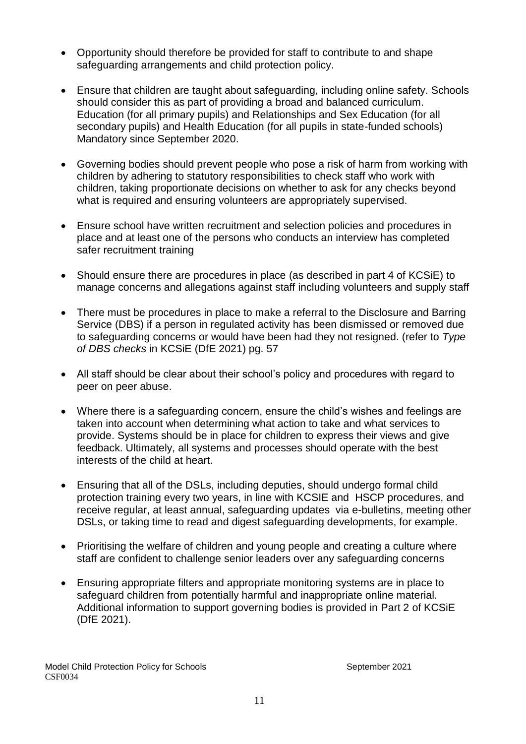- Opportunity should therefore be provided for staff to contribute to and shape safeguarding arrangements and child protection policy.
- Ensure that children are taught about safeguarding, including online safety. Schools should consider this as part of providing a broad and balanced curriculum. Education (for all primary pupils) and Relationships and Sex Education (for all secondary pupils) and Health Education (for all pupils in state-funded schools) Mandatory since September 2020.
- Governing bodies should prevent people who pose a risk of harm from working with children by adhering to statutory responsibilities to check staff who work with children, taking proportionate decisions on whether to ask for any checks beyond what is required and ensuring volunteers are appropriately supervised.
- Ensure school have written recruitment and selection policies and procedures in place and at least one of the persons who conducts an interview has completed safer recruitment training
- Should ensure there are procedures in place (as described in part 4 of KCSiE) to manage concerns and allegations against staff including volunteers and supply staff
- There must be procedures in place to make a referral to the Disclosure and Barring Service (DBS) if a person in regulated activity has been dismissed or removed due to safeguarding concerns or would have been had they not resigned. (refer to *Type of DBS checks* in KCSiE (DfE 2021) pg. 57
- All staff should be clear about their school's policy and procedures with regard to peer on peer abuse.
- Where there is a safeguarding concern, ensure the child's wishes and feelings are taken into account when determining what action to take and what services to provide. Systems should be in place for children to express their views and give feedback. Ultimately, all systems and processes should operate with the best interests of the child at heart.
- Ensuring that all of the DSLs, including deputies, should undergo formal child protection training every two years, in line with KCSIE and HSCP procedures, and receive regular, at least annual, safeguarding updates via e-bulletins, meeting other DSLs, or taking time to read and digest safeguarding developments, for example.
- Prioritising the welfare of children and young people and creating a culture where staff are confident to challenge senior leaders over any safeguarding concerns
- Ensuring appropriate filters and appropriate monitoring systems are in place to safeguard children from potentially harmful and inappropriate online material. Additional information to support governing bodies is provided in Part 2 of KCSiE (DfE 2021).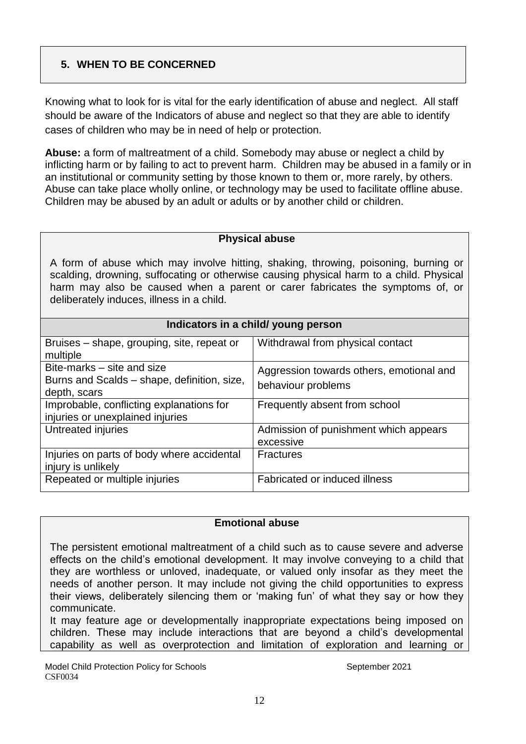# **5. WHEN TO BE CONCERNED**

Knowing what to look for is vital for the early identification of abuse and neglect. All staff should be aware of the Indicators of abuse and neglect so that they are able to identify cases of children who may be in need of help or protection.

**Abuse:** a form of maltreatment of a child. Somebody may abuse or neglect a child by inflicting harm or by failing to act to prevent harm. Children may be abused in a family or in an institutional or community setting by those known to them or, more rarely, by others. Abuse can take place wholly online, or technology may be used to facilitate offline abuse. Children may be abused by an adult or adults or by another child or children.

### **Physical abuse**

A form of abuse which may involve hitting, shaking, throwing, poisoning, burning or scalding, drowning, suffocating or otherwise causing physical harm to a child. Physical harm may also be caused when a parent or carer fabricates the symptoms of, or deliberately induces, illness in a child.

| Indicators in a child/ young person |  |  |  |  |
|-------------------------------------|--|--|--|--|
|-------------------------------------|--|--|--|--|

| Bruises – shape, grouping, site, repeat or<br>multiple | Withdrawal from physical contact         |
|--------------------------------------------------------|------------------------------------------|
| Bite-marks – site and size                             | Aggression towards others, emotional and |
| Burns and Scalds – shape, definition, size,            | behaviour problems                       |
| depth, scars                                           |                                          |
| Improbable, conflicting explanations for               | Frequently absent from school            |
| injuries or unexplained injuries                       |                                          |
| Untreated injuries                                     | Admission of punishment which appears    |
|                                                        | excessive                                |
| Injuries on parts of body where accidental             | <b>Fractures</b>                         |
| injury is unlikely                                     |                                          |
| Repeated or multiple injuries                          | Fabricated or induced illness            |
|                                                        |                                          |

#### **Emotional abuse**

The persistent emotional maltreatment of a child such as to cause severe and adverse effects on the child's emotional development. It may involve conveying to a child that they are worthless or unloved, inadequate, or valued only insofar as they meet the needs of another person. It may include not giving the child opportunities to express their views, deliberately silencing them or 'making fun' of what they say or how they communicate.

It may feature age or developmentally inappropriate expectations being imposed on children. These may include interactions that are beyond a child's developmental capability as well as overprotection and limitation of exploration and learning or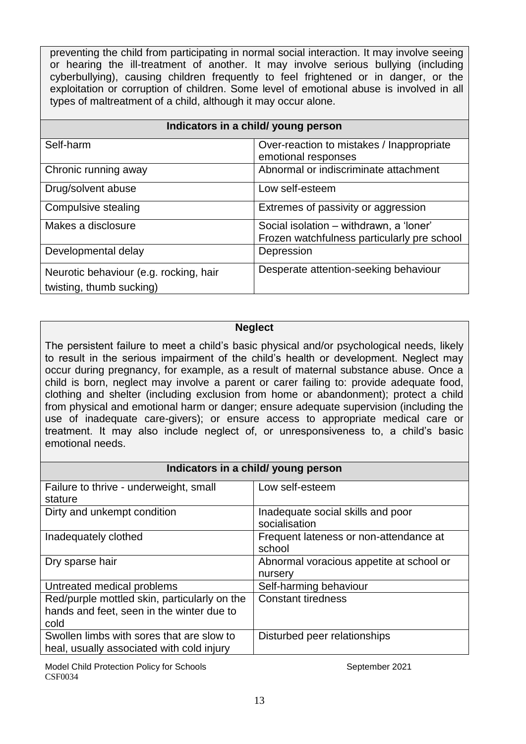preventing the child from participating in normal social interaction. It may involve seeing or hearing the ill-treatment of another. It may involve serious bullying (including cyberbullying), causing children frequently to feel frightened or in danger, or the exploitation or corruption of children. Some level of emotional abuse is involved in all types of maltreatment of a child, although it may occur alone.

| Indicators in a child/ young person                                |                                                                                        |  |  |
|--------------------------------------------------------------------|----------------------------------------------------------------------------------------|--|--|
| Self-harm                                                          | Over-reaction to mistakes / Inappropriate<br>emotional responses                       |  |  |
| Chronic running away                                               | Abnormal or indiscriminate attachment                                                  |  |  |
| Drug/solvent abuse                                                 | Low self-esteem                                                                        |  |  |
| Compulsive stealing                                                | Extremes of passivity or aggression                                                    |  |  |
| Makes a disclosure                                                 | Social isolation – withdrawn, a 'loner'<br>Frozen watchfulness particularly pre school |  |  |
| Developmental delay                                                | Depression                                                                             |  |  |
| Neurotic behaviour (e.g. rocking, hair<br>twisting, thumb sucking) | Desperate attention-seeking behaviour                                                  |  |  |

#### **Neglect**

The persistent failure to meet a child's basic physical and/or psychological needs, likely to result in the serious impairment of the child's health or development. Neglect may occur during pregnancy, for example, as a result of maternal substance abuse. Once a child is born, neglect may involve a parent or carer failing to: provide adequate food, clothing and shelter (including exclusion from home or abandonment); protect a child from physical and emotional harm or danger; ensure adequate supervision (including the use of inadequate care-givers); or ensure access to appropriate medical care or treatment. It may also include neglect of, or unresponsiveness to, a child's basic emotional needs.

| Indicators in a child/ young person          |                                          |  |  |
|----------------------------------------------|------------------------------------------|--|--|
| Failure to thrive - underweight, small       | Low self-esteem                          |  |  |
| stature                                      |                                          |  |  |
| Dirty and unkempt condition                  | Inadequate social skills and poor        |  |  |
|                                              | socialisation                            |  |  |
| Inadequately clothed                         | Frequent lateness or non-attendance at   |  |  |
|                                              | school                                   |  |  |
| Dry sparse hair                              | Abnormal voracious appetite at school or |  |  |
|                                              | nursery                                  |  |  |
| Untreated medical problems                   | Self-harming behaviour                   |  |  |
| Red/purple mottled skin, particularly on the | <b>Constant tiredness</b>                |  |  |
| hands and feet, seen in the winter due to    |                                          |  |  |
| cold                                         |                                          |  |  |
| Swollen limbs with sores that are slow to    | Disturbed peer relationships             |  |  |
| heal, usually associated with cold injury    |                                          |  |  |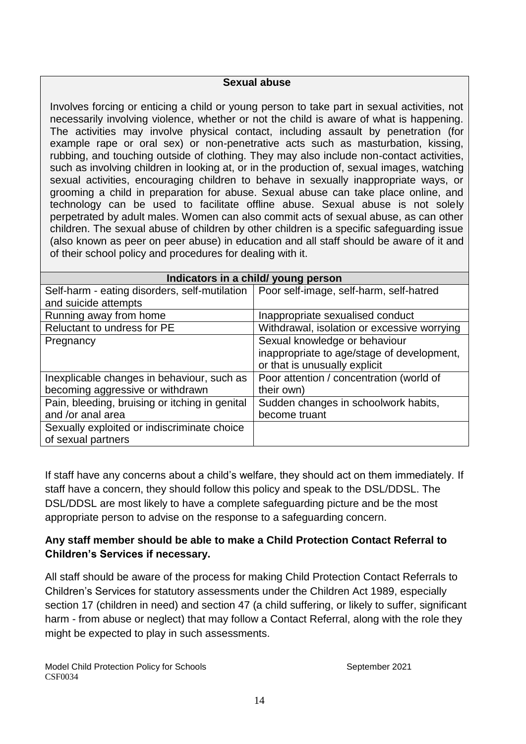#### **Sexual abuse**

Involves forcing or enticing a child or young person to take part in sexual activities, not necessarily involving violence, whether or not the child is aware of what is happening. The activities may involve physical contact, including assault by penetration (for example rape or oral sex) or non-penetrative acts such as masturbation, kissing, rubbing, and touching outside of clothing. They may also include non-contact activities, such as involving children in looking at, or in the production of, sexual images, watching sexual activities, encouraging children to behave in sexually inappropriate ways, or grooming a child in preparation for abuse. Sexual abuse can take place online, and technology can be used to facilitate offline abuse. Sexual abuse is not solely perpetrated by adult males. Women can also commit acts of sexual abuse, as can other children. The sexual abuse of children by other children is a specific safeguarding issue (also known as peer on peer abuse) in education and all staff should be aware of it and of their school policy and procedures for dealing with it.

| Indicators in a child/ young person            |                                             |  |  |
|------------------------------------------------|---------------------------------------------|--|--|
| Self-harm - eating disorders, self-mutilation  | Poor self-image, self-harm, self-hatred     |  |  |
| and suicide attempts                           |                                             |  |  |
| Running away from home                         | Inappropriate sexualised conduct            |  |  |
| Reluctant to undress for PE                    | Withdrawal, isolation or excessive worrying |  |  |
| Pregnancy                                      | Sexual knowledge or behaviour               |  |  |
|                                                | inappropriate to age/stage of development,  |  |  |
|                                                | or that is unusually explicit               |  |  |
| Inexplicable changes in behaviour, such as     | Poor attention / concentration (world of    |  |  |
| becoming aggressive or withdrawn               | their own)                                  |  |  |
| Pain, bleeding, bruising or itching in genital | Sudden changes in schoolwork habits,        |  |  |
| and /or anal area                              | become truant                               |  |  |
| Sexually exploited or indiscriminate choice    |                                             |  |  |
| of sexual partners                             |                                             |  |  |

If staff have any concerns about a child's welfare, they should act on them immediately. If staff have a concern, they should follow this policy and speak to the DSL/DDSL. The DSL/DDSL are most likely to have a complete safeguarding picture and be the most appropriate person to advise on the response to a safeguarding concern.

# **Any staff member should be able to make a Child Protection Contact Referral to Children's Services if necessary.**

All staff should be aware of the process for making Child Protection Contact Referrals to Children's Services for statutory assessments under the Children Act 1989, especially section 17 (children in need) and section 47 (a child suffering, or likely to suffer, significant harm - from abuse or neglect) that may follow a Contact Referral, along with the role they might be expected to play in such assessments.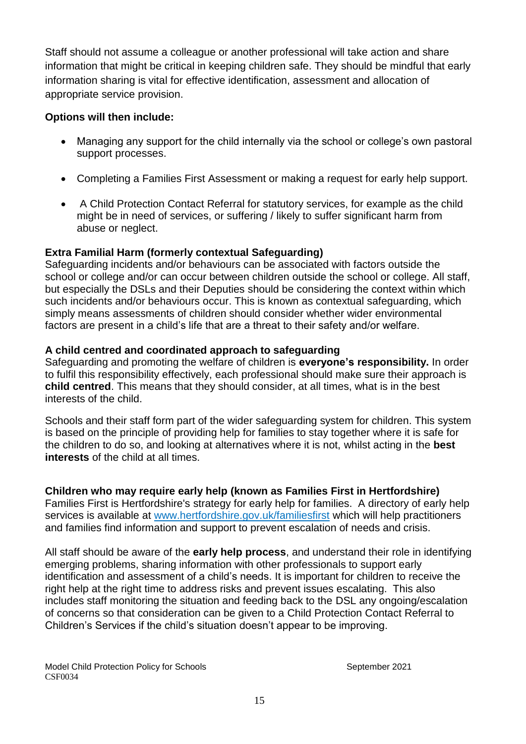Staff should not assume a colleague or another professional will take action and share information that might be critical in keeping children safe. They should be mindful that early information sharing is vital for effective identification, assessment and allocation of appropriate service provision.

### **Options will then include:**

- Managing any support for the child internally via the school or college's own pastoral support processes.
- Completing a Families First Assessment or making a request for early help support.
- A Child Protection Contact Referral for statutory services, for example as the child might be in need of services, or suffering / likely to suffer significant harm from abuse or neglect.

### **Extra Familial Harm (formerly contextual Safeguarding)**

Safeguarding incidents and/or behaviours can be associated with factors outside the school or college and/or can occur between children outside the school or college. All staff, but especially the DSLs and their Deputies should be considering the context within which such incidents and/or behaviours occur. This is known as contextual safeguarding, which simply means assessments of children should consider whether wider environmental factors are present in a child's life that are a threat to their safety and/or welfare.

### **A child centred and coordinated approach to safeguarding**

Safeguarding and promoting the welfare of children is **everyone's responsibility.** In order to fulfil this responsibility effectively, each professional should make sure their approach is **child centred**. This means that they should consider, at all times, what is in the best interests of the child.

Schools and their staff form part of the wider safeguarding system for children. This system is based on the principle of providing help for families to stay together where it is safe for the children to do so, and looking at alternatives where it is not, whilst acting in the **best interests** of the child at all times.

### **Children who may require early help (known as Families First in Hertfordshire)**

Families First is Hertfordshire's strategy for early help for families. A directory of early help services is available at [www.hertfordshire.gov.uk/familiesfirst](http://www.hertfordshire.gov.uk/familiesfirst) which will help practitioners and families find information and support to prevent escalation of needs and crisis.

All staff should be aware of the **early help process**, and understand their role in identifying emerging problems, sharing information with other professionals to support early identification and assessment of a child's needs. It is important for children to receive the right help at the right time to address risks and prevent issues escalating. This also includes staff monitoring the situation and feeding back to the DSL any ongoing/escalation of concerns so that consideration can be given to a Child Protection Contact Referral to Children's Services if the child's situation doesn't appear to be improving.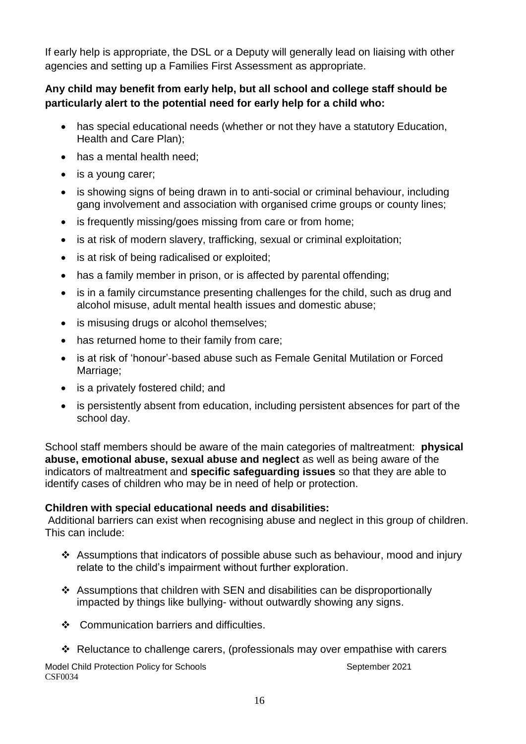If early help is appropriate, the DSL or a Deputy will generally lead on liaising with other agencies and setting up a Families First Assessment as appropriate.

# **Any child may benefit from early help, but all school and college staff should be particularly alert to the potential need for early help for a child who:**

- has special educational needs (whether or not they have a statutory Education, Health and Care Plan);
- has a mental health need;
- is a young carer;
- is showing signs of being drawn in to anti-social or criminal behaviour, including gang involvement and association with organised crime groups or county lines;
- is frequently missing/goes missing from care or from home;
- is at risk of modern slavery, trafficking, sexual or criminal exploitation;
- is at risk of being radicalised or exploited;
- has a family member in prison, or is affected by parental offending;
- is in a family circumstance presenting challenges for the child, such as drug and alcohol misuse, adult mental health issues and domestic abuse;
- is misusing drugs or alcohol themselves;
- has returned home to their family from care;
- is at risk of 'honour'-based abuse such as Female Genital Mutilation or Forced Marriage;
- is a privately fostered child; and
- is persistently absent from education, including persistent absences for part of the school day.

School staff members should be aware of the main categories of maltreatment: **physical abuse, emotional abuse, sexual abuse and neglect** as well as being aware of the indicators of maltreatment and **specific safeguarding issues** so that they are able to identify cases of children who may be in need of help or protection.

### **Children with special educational needs and disabilities:**

Additional barriers can exist when recognising abuse and neglect in this group of children. This can include:

- \* Assumptions that indicators of possible abuse such as behaviour, mood and injury relate to the child's impairment without further exploration.
- Assumptions that children with SEN and disabilities can be disproportionally impacted by things like bullying- without outwardly showing any signs.
- ❖ Communication barriers and difficulties.
- Reluctance to challenge carers, (professionals may over empathise with carers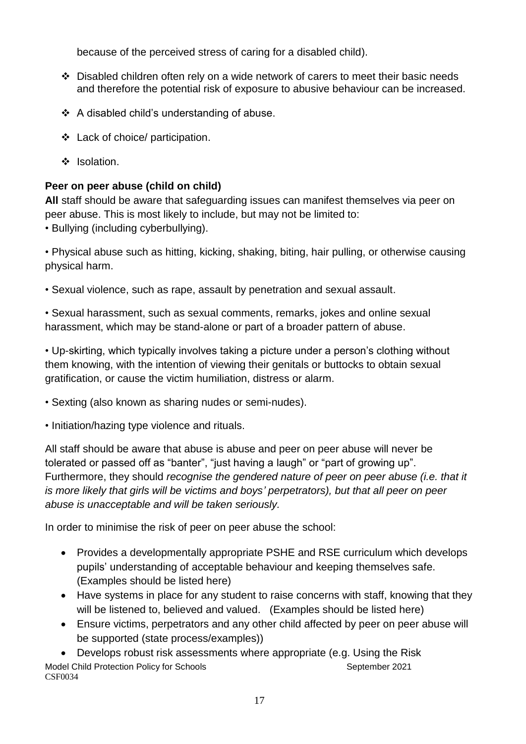because of the perceived stress of caring for a disabled child).

- $\div$  Disabled children often rely on a wide network of carers to meet their basic needs and therefore the potential risk of exposure to abusive behaviour can be increased.
- A disabled child's understanding of abuse.
- Lack of choice/ participation.
- $\cdot$  Isolation.

# **Peer on peer abuse (child on child)**

**All** staff should be aware that safeguarding issues can manifest themselves via peer on peer abuse. This is most likely to include, but may not be limited to:

• Bullying (including cyberbullying).

• Physical abuse such as hitting, kicking, shaking, biting, hair pulling, or otherwise causing physical harm.

• Sexual violence, such as rape, assault by penetration and sexual assault.

• Sexual harassment, such as sexual comments, remarks, jokes and online sexual harassment, which may be stand-alone or part of a broader pattern of abuse.

• Up-skirting, which typically involves taking a picture under a person's clothing without them knowing, with the intention of viewing their genitals or buttocks to obtain sexual gratification, or cause the victim humiliation, distress or alarm.

- Sexting (also known as sharing nudes or semi-nudes).
- Initiation/hazing type violence and rituals.

All staff should be aware that abuse is abuse and peer on peer abuse will never be tolerated or passed off as "banter", "just having a laugh" or "part of growing up". Furthermore, they should *recognise the gendered nature of peer on peer abuse (i.e. that it is more likely that girls will be victims and boys' perpetrators), but that all peer on peer abuse is unacceptable and will be taken seriously.*

In order to minimise the risk of peer on peer abuse the school:

- Provides a developmentally appropriate PSHE and RSE curriculum which develops pupils' understanding of acceptable behaviour and keeping themselves safe. (Examples should be listed here)
- Have systems in place for any student to raise concerns with staff, knowing that they will be listened to, believed and valued. (Examples should be listed here)
- Ensure victims, perpetrators and any other child affected by peer on peer abuse will be supported (state process/examples))

Model Child Protection Policy for Schools September 2021 CSF0034 Develops robust risk assessments where appropriate (e.g. Using the Risk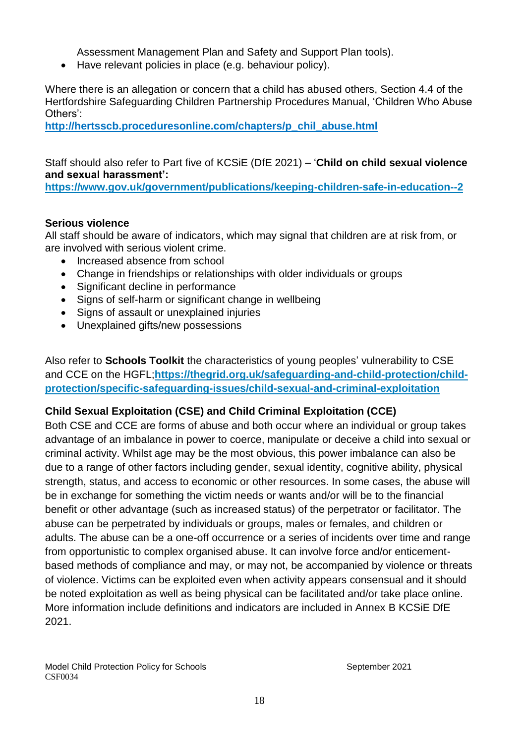Assessment Management Plan and Safety and Support Plan tools).

• Have relevant policies in place (e.g. behaviour policy).

Where there is an allegation or concern that a child has abused others, Section 4.4 of the Hertfordshire Safeguarding Children Partnership Procedures Manual, 'Children Who Abuse Others':

**[http://hertsscb.proceduresonline.com/chapters/p\\_chil\\_abuse.html](http://hertsscb.proceduresonline.com/chapters/p_chil_abuse.html)**

Staff should also refer to Part five of KCSiE (DfE 2021) – '**Child on child sexual violence and sexual harassment':**

**<https://www.gov.uk/government/publications/keeping-children-safe-in-education--2>**

### **Serious violence**

All staff should be aware of indicators, which may signal that children are at risk from, or are involved with serious violent crime.

- Increased absence from school
- Change in friendships or relationships with older individuals or groups
- Significant decline in performance
- Signs of self-harm or significant change in wellbeing
- Signs of assault or unexplained injuries
- Unexplained gifts/new possessions

Also refer to **Schools Toolkit** the characteristics of young peoples' vulnerability to CSE and CCE on the HGFL;**[https://thegrid.org.uk/safeguarding-and-child-protection/child](https://thegrid.org.uk/safeguarding-and-child-protection/child-protection/specific-safeguarding-issues/child-sexual-and-criminal-exploitation)[protection/specific-safeguarding-issues/child-sexual-and-criminal-exploitation](https://thegrid.org.uk/safeguarding-and-child-protection/child-protection/specific-safeguarding-issues/child-sexual-and-criminal-exploitation)**

### **Child Sexual Exploitation (CSE) and Child Criminal Exploitation (CCE)**

Both CSE and CCE are forms of abuse and both occur where an individual or group takes advantage of an imbalance in power to coerce, manipulate or deceive a child into sexual or criminal activity. Whilst age may be the most obvious, this power imbalance can also be due to a range of other factors including gender, sexual identity, cognitive ability, physical strength, status, and access to economic or other resources. In some cases, the abuse will be in exchange for something the victim needs or wants and/or will be to the financial benefit or other advantage (such as increased status) of the perpetrator or facilitator. The abuse can be perpetrated by individuals or groups, males or females, and children or adults. The abuse can be a one-off occurrence or a series of incidents over time and range from opportunistic to complex organised abuse. It can involve force and/or enticementbased methods of compliance and may, or may not, be accompanied by violence or threats of violence. Victims can be exploited even when activity appears consensual and it should be noted exploitation as well as being physical can be facilitated and/or take place online. More information include definitions and indicators are included in Annex B KCSiE DfE 2021.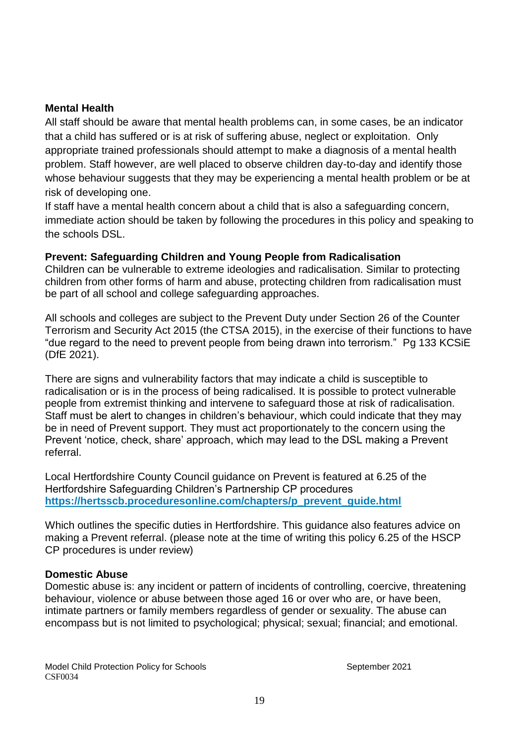### **Mental Health**

All staff should be aware that mental health problems can, in some cases, be an indicator that a child has suffered or is at risk of suffering abuse, neglect or exploitation. Only appropriate trained professionals should attempt to make a diagnosis of a mental health problem. Staff however, are well placed to observe children day-to-day and identify those whose behaviour suggests that they may be experiencing a mental health problem or be at risk of developing one.

If staff have a mental health concern about a child that is also a safeguarding concern, immediate action should be taken by following the procedures in this policy and speaking to the schools DSL.

### **Prevent: Safeguarding Children and Young People from Radicalisation**

Children can be vulnerable to extreme ideologies and radicalisation. Similar to protecting children from other forms of harm and abuse, protecting children from radicalisation must be part of all school and college safeguarding approaches.

All schools and colleges are subject to the Prevent Duty under Section 26 of the Counter Terrorism and Security Act 2015 (the CTSA 2015), in the exercise of their functions to have "due regard to the need to prevent people from being drawn into terrorism." Pg 133 KCSiE (DfE 2021).

There are signs and vulnerability factors that may indicate a child is susceptible to radicalisation or is in the process of being radicalised. It is possible to protect vulnerable people from extremist thinking and intervene to safeguard those at risk of radicalisation. Staff must be alert to changes in children's behaviour, which could indicate that they may be in need of Prevent support. They must act proportionately to the concern using the Prevent 'notice, check, share' approach, which may lead to the DSL making a Prevent referral.

Local Hertfordshire County Council guidance on Prevent is featured at 6.25 of the Hertfordshire Safeguarding Children's Partnership CP procedures **[https://hertsscb.proceduresonline.com/chapters/p\\_prevent\\_guide.html](https://hertsscb.proceduresonline.com/chapters/p_prevent_guide.html)**

Which outlines the specific duties in Hertfordshire. This guidance also features advice on making a Prevent referral. (please note at the time of writing this policy 6.25 of the HSCP CP procedures is under review)

#### **Domestic Abuse**

Domestic abuse is: any incident or pattern of incidents of controlling, coercive, threatening behaviour, violence or abuse between those aged 16 or over who are, or have been, intimate partners or family members regardless of gender or sexuality. The abuse can encompass but is not limited to psychological; physical; sexual; financial; and emotional.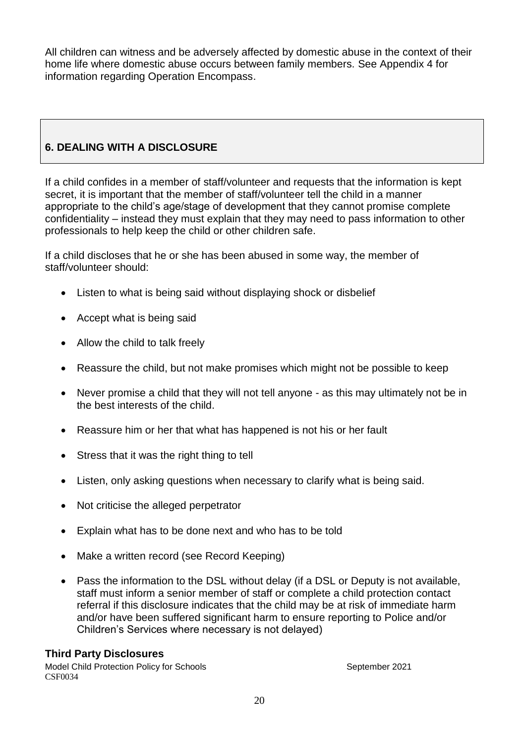All children can witness and be adversely affected by domestic abuse in the context of their home life where domestic abuse occurs between family members. See Appendix 4 for information regarding Operation Encompass.

# **6. DEALING WITH A DISCLOSURE**

If a child confides in a member of staff/volunteer and requests that the information is kept secret, it is important that the member of staff/volunteer tell the child in a manner appropriate to the child's age/stage of development that they cannot promise complete confidentiality – instead they must explain that they may need to pass information to other professionals to help keep the child or other children safe.

If a child discloses that he or she has been abused in some way, the member of staff/volunteer should:

- Listen to what is being said without displaying shock or disbelief
- Accept what is being said
- Allow the child to talk freely
- Reassure the child, but not make promises which might not be possible to keep
- Never promise a child that they will not tell anyone as this may ultimately not be in the best interests of the child.
- Reassure him or her that what has happened is not his or her fault
- Stress that it was the right thing to tell
- Listen, only asking questions when necessary to clarify what is being said.
- Not criticise the alleged perpetrator
- Explain what has to be done next and who has to be told
- Make a written record (see Record Keeping)
- Pass the information to the DSL without delay (if a DSL or Deputy is not available, staff must inform a senior member of staff or complete a child protection contact referral if this disclosure indicates that the child may be at risk of immediate harm and/or have been suffered significant harm to ensure reporting to Police and/or Children's Services where necessary is not delayed)

#### **Third Party Disclosures**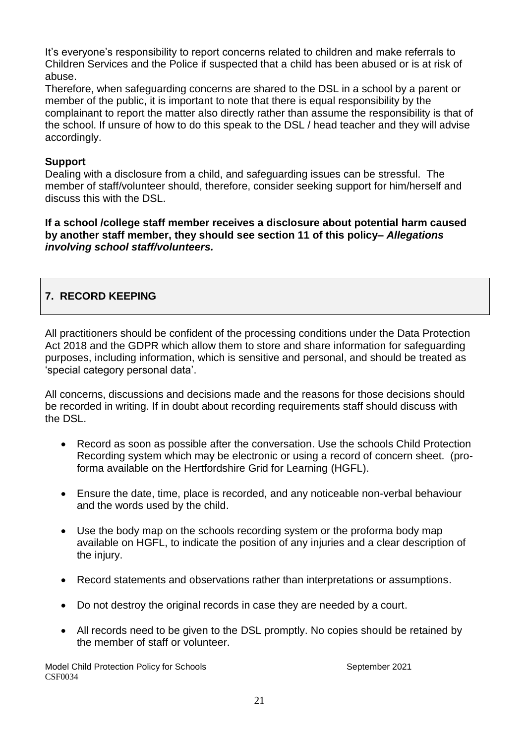It's everyone's responsibility to report concerns related to children and make referrals to Children Services and the Police if suspected that a child has been abused or is at risk of abuse.

Therefore, when safeguarding concerns are shared to the DSL in a school by a parent or member of the public, it is important to note that there is equal responsibility by the complainant to report the matter also directly rather than assume the responsibility is that of the school. If unsure of how to do this speak to the DSL / head teacher and they will advise accordingly.

#### **Support**

Dealing with a disclosure from a child, and safeguarding issues can be stressful. The member of staff/volunteer should, therefore, consider seeking support for him/herself and discuss this with the DSL.

**If a school /college staff member receives a disclosure about potential harm caused by another staff member, they should see section 11 of this policy–** *Allegations involving school staff/volunteers.* 

# **7. RECORD KEEPING**

All practitioners should be confident of the processing conditions under the Data Protection Act 2018 and the GDPR which allow them to store and share information for safeguarding purposes, including information, which is sensitive and personal, and should be treated as 'special category personal data'.

All concerns, discussions and decisions made and the reasons for those decisions should be recorded in writing. If in doubt about recording requirements staff should discuss with the DSL.

- Record as soon as possible after the conversation. Use the schools Child Protection Recording system which may be electronic or using a record of concern sheet. (proforma available on the Hertfordshire Grid for Learning (HGFL).
- Ensure the date, time, place is recorded, and any noticeable non-verbal behaviour and the words used by the child.
- Use the body map on the schools recording system or the proforma body map available on HGFL, to indicate the position of any injuries and a clear description of the injury.
- Record statements and observations rather than interpretations or assumptions.
- Do not destroy the original records in case they are needed by a court.
- All records need to be given to the DSL promptly. No copies should be retained by the member of staff or volunteer.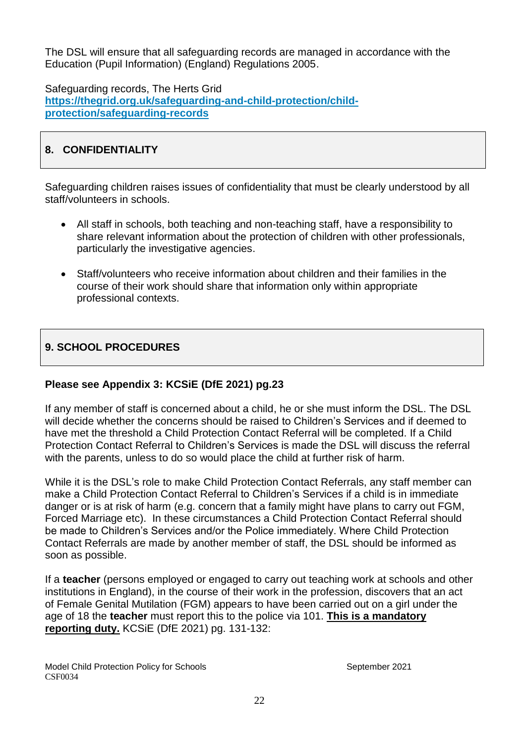The DSL will ensure that all safeguarding records are managed in accordance with the Education (Pupil Information) (England) Regulations 2005.

Safeguarding records, The Herts Grid **[https://thegrid.org.uk/safeguarding-and-child-protection/child](https://thegrid.org.uk/safeguarding-and-child-protection/child-protection/safeguarding-records)[protection/safeguarding-records](https://thegrid.org.uk/safeguarding-and-child-protection/child-protection/safeguarding-records)**

# **8. CONFIDENTIALITY**

Safeguarding children raises issues of confidentiality that must be clearly understood by all staff/volunteers in schools.

- All staff in schools, both teaching and non-teaching staff, have a responsibility to share relevant information about the protection of children with other professionals, particularly the investigative agencies.
- Staff/volunteers who receive information about children and their families in the course of their work should share that information only within appropriate professional contexts.

# **9. SCHOOL PROCEDURES**

### **Please see Appendix 3: KCSiE (DfE 2021) pg.23**

If any member of staff is concerned about a child, he or she must inform the DSL. The DSL will decide whether the concerns should be raised to Children's Services and if deemed to have met the threshold a Child Protection Contact Referral will be completed. If a Child Protection Contact Referral to Children's Services is made the DSL will discuss the referral with the parents, unless to do so would place the child at further risk of harm.

While it is the DSL's role to make Child Protection Contact Referrals, any staff member can make a Child Protection Contact Referral to Children's Services if a child is in immediate danger or is at risk of harm (e.g. concern that a family might have plans to carry out FGM, Forced Marriage etc). In these circumstances a Child Protection Contact Referral should be made to Children's Services and/or the Police immediately. Where Child Protection Contact Referrals are made by another member of staff, the DSL should be informed as soon as possible.

If a **teacher** (persons employed or engaged to carry out teaching work at schools and other institutions in England), in the course of their work in the profession, discovers that an act of Female Genital Mutilation (FGM) appears to have been carried out on a girl under the age of 18 the **teacher** must report this to the police via 101. **This is a mandatory reporting duty.** KCSiE (DfE 2021) pg. 131-132: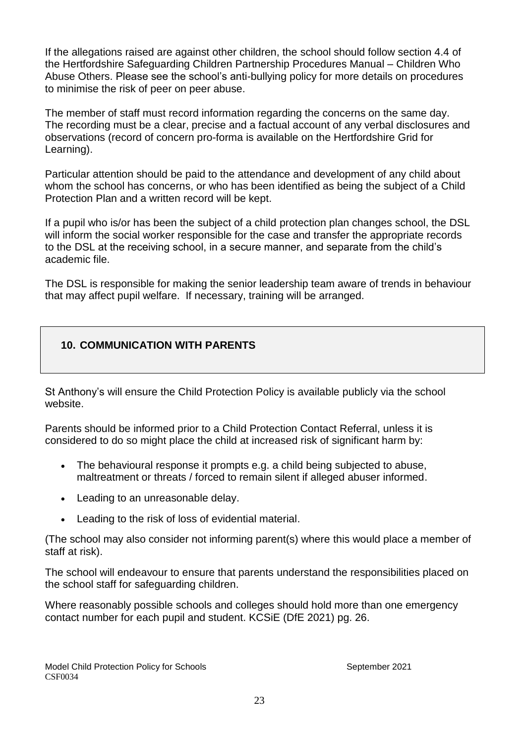If the allegations raised are against other children, the school should follow section 4.4 of the Hertfordshire Safeguarding Children Partnership Procedures Manual – Children Who Abuse Others. Please see the school's anti-bullying policy for more details on procedures to minimise the risk of peer on peer abuse.

The member of staff must record information regarding the concerns on the same day. The recording must be a clear, precise and a factual account of any verbal disclosures and observations (record of concern pro-forma is available on the Hertfordshire Grid for Learning).

Particular attention should be paid to the attendance and development of any child about whom the school has concerns, or who has been identified as being the subject of a Child Protection Plan and a written record will be kept.

If a pupil who is/or has been the subject of a child protection plan changes school, the DSL will inform the social worker responsible for the case and transfer the appropriate records to the DSL at the receiving school, in a secure manner, and separate from the child's academic file.

The DSL is responsible for making the senior leadership team aware of trends in behaviour that may affect pupil welfare. If necessary, training will be arranged.

# **10. COMMUNICATION WITH PARENTS**

St Anthony's will ensure the Child Protection Policy is available publicly via the school website.

Parents should be informed prior to a Child Protection Contact Referral, unless it is considered to do so might place the child at increased risk of significant harm by:

- The behavioural response it prompts e.g. a child being subjected to abuse, maltreatment or threats / forced to remain silent if alleged abuser informed.
- Leading to an unreasonable delay.
- Leading to the risk of loss of evidential material.

(The school may also consider not informing parent(s) where this would place a member of staff at risk).

The school will endeavour to ensure that parents understand the responsibilities placed on the school staff for safeguarding children.

Where reasonably possible schools and colleges should hold more than one emergency contact number for each pupil and student. KCSiE (DfE 2021) pg. 26.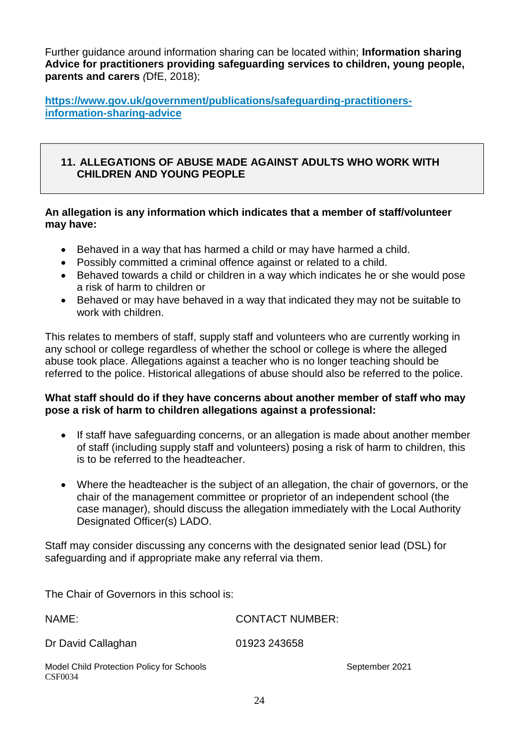Further guidance around information sharing can be located within; **Information sharing Advice for practitioners providing safeguarding services to children, young people, parents and carers** *(*DfE, 2018);

**[https://www.gov.uk/government/publications/safeguarding-practitioners](https://www.gov.uk/government/publications/safeguarding-practitioners-information-sharing-advice)[information-sharing-advice](https://www.gov.uk/government/publications/safeguarding-practitioners-information-sharing-advice)**

### **11. ALLEGATIONS OF ABUSE MADE AGAINST ADULTS WHO WORK WITH CHILDREN AND YOUNG PEOPLE**

### **An allegation is any information which indicates that a member of staff/volunteer may have:**

- Behaved in a way that has harmed a child or may have harmed a child.
- Possibly committed a criminal offence against or related to a child.
- Behaved towards a child or children in a way which indicates he or she would pose a risk of harm to children or
- Behaved or may have behaved in a way that indicated they may not be suitable to work with children.

This relates to members of staff, supply staff and volunteers who are currently working in any school or college regardless of whether the school or college is where the alleged abuse took place. Allegations against a teacher who is no longer teaching should be referred to the police. Historical allegations of abuse should also be referred to the police.

#### **What staff should do if they have concerns about another member of staff who may pose a risk of harm to children allegations against a professional:**

- If staff have safeguarding concerns, or an allegation is made about another member of staff (including supply staff and volunteers) posing a risk of harm to children, this is to be referred to the headteacher.
- Where the headteacher is the subject of an allegation, the chair of governors, or the chair of the management committee or proprietor of an independent school (the case manager), should discuss the allegation immediately with the Local Authority Designated Officer(s) LADO.

Staff may consider discussing any concerns with the designated senior lead (DSL) for safeguarding and if appropriate make any referral via them.

The Chair of Governors in this school is:

Model Child Protection Policy for Schools September 2021 CSF0034 NAME: CONTACT NUMBER: Dr David Callaghan 01923 243658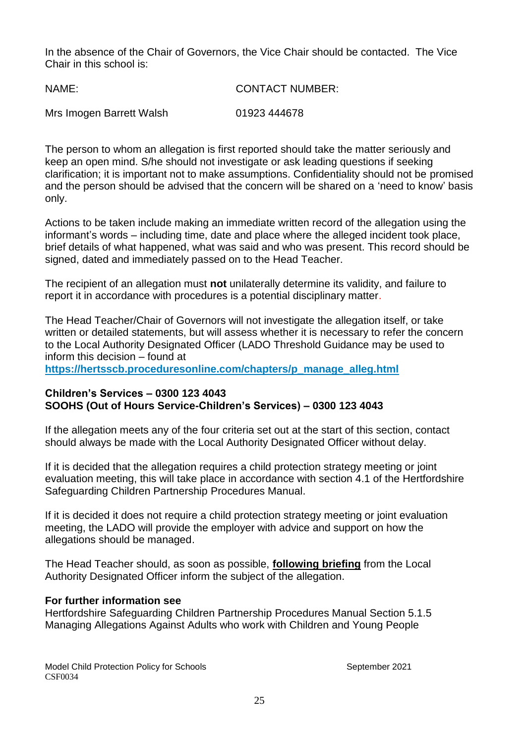In the absence of the Chair of Governors, the Vice Chair should be contacted. The Vice Chair in this school is:

| NAME:                    | <b>CONTACT NUMBER:</b> |
|--------------------------|------------------------|
| Mrs Imogen Barrett Walsh | 01923 444678           |

The person to whom an allegation is first reported should take the matter seriously and keep an open mind. S/he should not investigate or ask leading questions if seeking clarification; it is important not to make assumptions. Confidentiality should not be promised and the person should be advised that the concern will be shared on a 'need to know' basis only.

Actions to be taken include making an immediate written record of the allegation using the informant's words – including time, date and place where the alleged incident took place, brief details of what happened, what was said and who was present. This record should be signed, dated and immediately passed on to the Head Teacher.

The recipient of an allegation must **not** unilaterally determine its validity, and failure to report it in accordance with procedures is a potential disciplinary matter.

The Head Teacher/Chair of Governors will not investigate the allegation itself, or take written or detailed statements, but will assess whether it is necessary to refer the concern to the Local Authority Designated Officer (LADO Threshold Guidance may be used to inform this decision – found at

**[https://hertsscb.proceduresonline.com/chapters/p\\_manage\\_alleg.html](https://hertsscb.proceduresonline.com/chapters/p_manage_alleg.html)**

### **Children's Services – 0300 123 4043 SOOHS (Out of Hours Service-Children's Services) – 0300 123 4043**

If the allegation meets any of the four criteria set out at the start of this section, contact should always be made with the Local Authority Designated Officer without delay.

If it is decided that the allegation requires a child protection strategy meeting or joint evaluation meeting, this will take place in accordance with section 4.1 of the Hertfordshire Safeguarding Children Partnership Procedures Manual.

If it is decided it does not require a child protection strategy meeting or joint evaluation meeting, the LADO will provide the employer with advice and support on how the allegations should be managed.

The Head Teacher should, as soon as possible, **following briefing** from the Local Authority Designated Officer inform the subject of the allegation.

#### **For further information see**

Hertfordshire Safeguarding Children Partnership Procedures Manual Section 5.1.5 [Managing Allegations Against Adults who work with Children and Young People](http://www.proceduresonline.com/herts_scb/chapters/p_manage_alleg.html)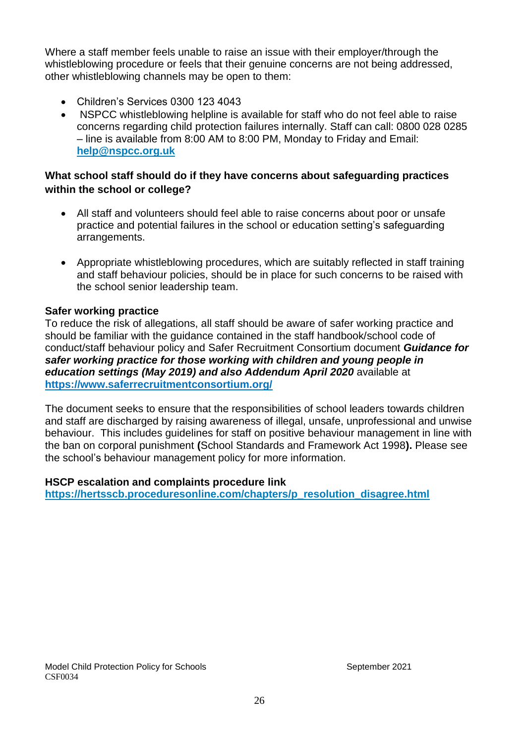Where a staff member feels unable to raise an issue with their employer/through the whistleblowing procedure or feels that their genuine concerns are not being addressed, other whistleblowing channels may be open to them:

- Children's Services 0300 123 4043
- NSPCC whistleblowing helpline is available for staff who do not feel able to raise concerns regarding child protection failures internally. Staff can call: 0800 028 0285 – line is available from 8:00 AM to 8:00 PM, Monday to Friday and Email: **[help@nspcc.org.uk](mailto:help@nspcc.org.uk)**

## **What school staff should do if they have concerns about safeguarding practices within the school or college?**

- All staff and volunteers should feel able to raise concerns about poor or unsafe practice and potential failures in the school or education setting's safeguarding arrangements.
- Appropriate whistleblowing procedures, which are suitably reflected in staff training and staff behaviour policies, should be in place for such concerns to be raised with the school senior leadership team.

### **Safer working practice**

To reduce the risk of allegations, all staff should be aware of safer working practice and should be familiar with the guidance contained in the staff handbook/school code of conduct/staff behaviour policy and Safer Recruitment Consortium document *Guidance for safer working practice for those working with children and young people in education settings (May 2019) and also Addendum April 2020* available at **<https://www.saferrecruitmentconsortium.org/>**

The document seeks to ensure that the responsibilities of school leaders towards children and staff are discharged by raising awareness of illegal, unsafe, unprofessional and unwise behaviour. This includes guidelines for staff on positive behaviour management in line with the ban on corporal punishment **(**School Standards and Framework Act 1998**).** Please see the school's behaviour management policy for more information.

#### **HSCP escalation and complaints procedure link**

**[https://hertsscb.proceduresonline.com/chapters/p\\_resolution\\_disagree.html](https://hertsscb.proceduresonline.com/chapters/p_resolution_disagree.html)**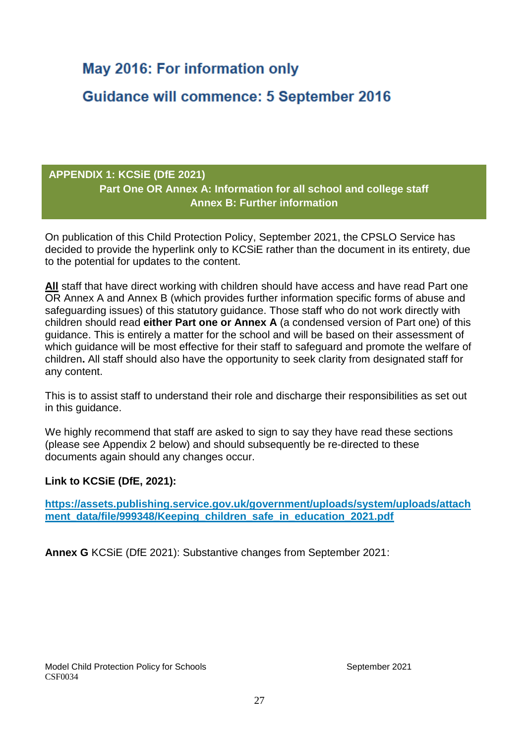# **May 2016: For information only**

**Guidance will commence: 5 September 2016** 

# **APPENDIX 1: KCSiE (DfE 2021) Part One OR Annex A: Information for all school and college staff Annex B: Further information**

On publication of this Child Protection Policy, September 2021, the CPSLO Service has decided to provide the hyperlink only to KCSiE rather than the document in its entirety, due to the potential for updates to the content.

**All** staff that have direct working with children should have access and have read Part one OR Annex A and Annex B (which provides further information specific forms of abuse and safeguarding issues) of this statutory guidance. Those staff who do not work directly with children should read **either Part one or Annex A** (a condensed version of Part one) of this guidance. This is entirely a matter for the school and will be based on their assessment of which guidance will be most effective for their staff to safeguard and promote the welfare of children**.** All staff should also have the opportunity to seek clarity from designated staff for any content.

This is to assist staff to understand their role and discharge their responsibilities as set out in this guidance.

We highly recommend that staff are asked to sign to say they have read these sections (please see Appendix 2 below) and should subsequently be re-directed to these documents again should any changes occur.

### **Link to KCSiE (DfE, 2021):**

**[https://assets.publishing.service.gov.uk/government/uploads/system/uploads/attach](https://assets.publishing.service.gov.uk/government/uploads/system/uploads/attachment_data/file/999348/Keeping_children_safe_in_education_2021.pdf) [ment\\_data/file/999348/Keeping\\_children\\_safe\\_in\\_education\\_2021.pdf](https://assets.publishing.service.gov.uk/government/uploads/system/uploads/attachment_data/file/999348/Keeping_children_safe_in_education_2021.pdf)**

**Annex G** KCSiE (DfE 2021): Substantive changes from September 2021: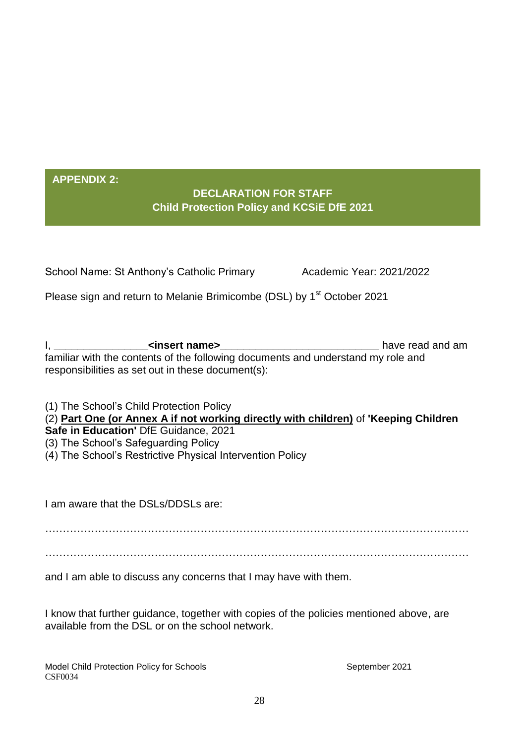# **APPENDIX 2:**

# **DECLARATION FOR STAFF Child Protection Policy and KCSiE DfE 2021**

| School Name: St Anthony's Catholic Primary | Academic Year: 2021/2022 |  |
|--------------------------------------------|--------------------------|--|
|                                            |                          |  |

Please sign and return to Melanie Brimicombe (DSL) by 1<sup>st</sup> October 2021

I, **and a struck of the struck of the struck of the struck of the struck of the struck of the struck of the struck of the struck of the struck of the struck of the struck of the struck of the struck of the struck of the st** familiar with the contents of the following documents and understand my role and responsibilities as set out in these document(s):

(1) The School's Child Protection Policy

(2) **Part One (or Annex A if not working directly with children)** of **'Keeping Children** 

- **Safe in Education'** DfE Guidance, 2021
- (3) The School's Safeguarding Policy
- (4) The School's Restrictive Physical Intervention Policy

I am aware that the DSLs/DDSLs are:

………………………………………………………………………………………………………… …………………………………………………………………………………………………………

and I am able to discuss any concerns that I may have with them.

I know that further guidance, together with copies of the policies mentioned above, are available from the DSL or on the school network.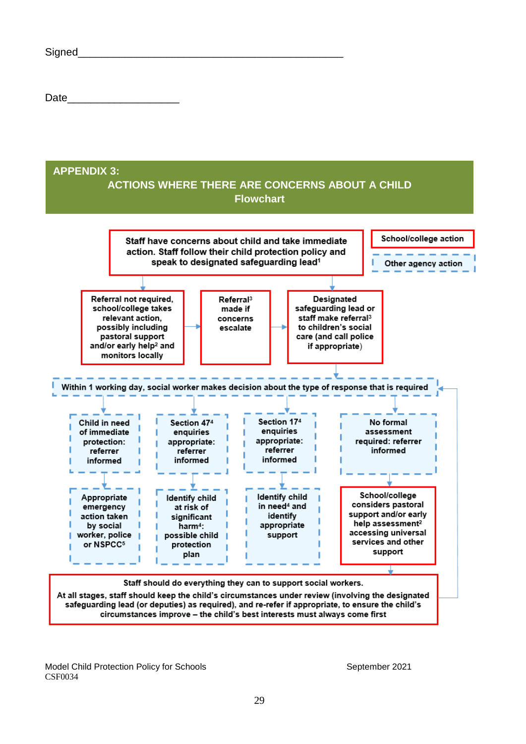| Signed |  |  |  |
|--------|--|--|--|
|        |  |  |  |

Date\_\_\_\_\_\_\_\_\_\_\_\_\_\_\_\_\_\_\_

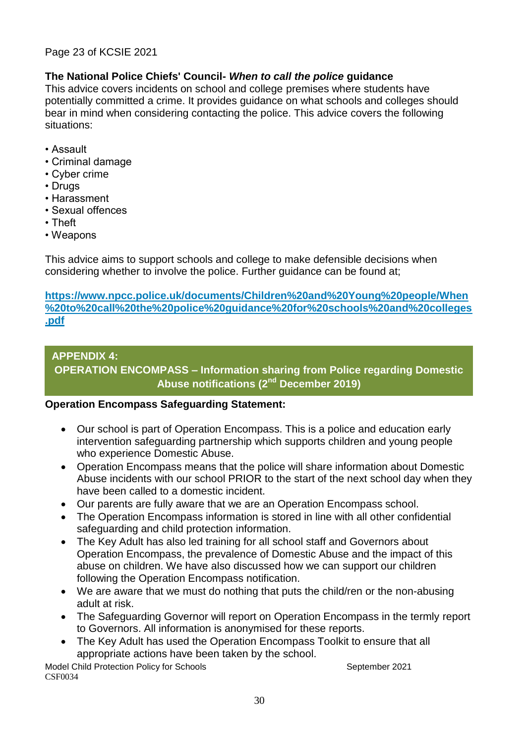### Page 23 of KCSIE 2021

### **The National Police Chiefs' Council-** *When to call the police* **guidance**

This advice covers incidents on school and college premises where students have potentially committed a crime. It provides guidance on what schools and colleges should bear in mind when considering contacting the police. This advice covers the following situations:

- Assault
- Criminal damage
- Cyber crime
- Drugs
- Harassment
- Sexual offences
- Theft
- Weapons

This advice aims to support schools and college to make defensible decisions when considering whether to involve the police. Further guidance can be found at;

**[https://www.npcc.police.uk/documents/Children%20and%20Young%20people/When](https://www.npcc.police.uk/documents/Children%20and%20Young%20people/When%20to%20call%20the%20police%20guidance%20for%20schools%20and%20colleges.pdf) [%20to%20call%20the%20police%20guidance%20for%20schools%20and%20colleges](https://www.npcc.police.uk/documents/Children%20and%20Young%20people/When%20to%20call%20the%20police%20guidance%20for%20schools%20and%20colleges.pdf) [.pdf](https://www.npcc.police.uk/documents/Children%20and%20Young%20people/When%20to%20call%20the%20police%20guidance%20for%20schools%20and%20colleges.pdf)**

### **APPENDIX 4:**

**OPERATION ENCOMPASS – Information sharing from Police regarding Domestic Abuse notifications (2nd December 2019)**

#### **Operation Encompass Safeguarding Statement:**

- Our school is part of Operation Encompass. This is a police and education early intervention safeguarding partnership which supports children and young people who experience Domestic Abuse.
- Operation Encompass means that the police will share information about Domestic Abuse incidents with our school PRIOR to the start of the next school day when they have been called to a domestic incident.
- Our parents are fully aware that we are an Operation Encompass school.
- The Operation Encompass information is stored in line with all other confidential safeguarding and child protection information.
- The Key Adult has also led training for all school staff and Governors about Operation Encompass, the prevalence of Domestic Abuse and the impact of this abuse on children. We have also discussed how we can support our children following the Operation Encompass notification.
- We are aware that we must do nothing that puts the child/ren or the non-abusing adult at risk.
- The Safeguarding Governor will report on Operation Encompass in the termly report to Governors. All information is anonymised for these reports.
- The Key Adult has used the Operation Encompass Toolkit to ensure that all appropriate actions have been taken by the school.

Model Child Protection Policy for Schools Model Child Protection Policy for Schools CSF0034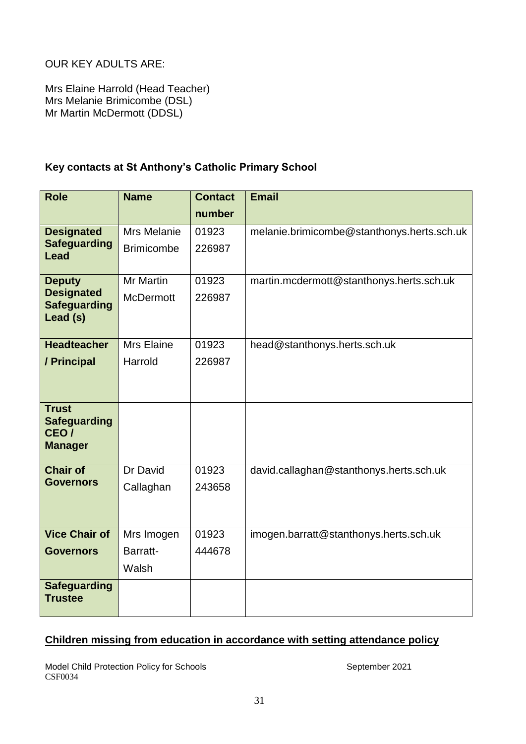OUR KEY ADULTS ARE:

Mrs Elaine Harrold (Head Teacher) Mrs Melanie Brimicombe (DSL) Mr Martin McDermott (DDSL)

# **Key contacts at St Anthony's Catholic Primary School**

| <b>Role</b>                                                               | <b>Name</b>        | <b>Contact</b> | <b>Email</b>                               |
|---------------------------------------------------------------------------|--------------------|----------------|--------------------------------------------|
|                                                                           |                    | number         |                                            |
| <b>Designated</b>                                                         | <b>Mrs Melanie</b> | 01923          | melanie.brimicombe@stanthonys.herts.sch.uk |
| <b>Safeguarding</b><br><b>Lead</b>                                        | <b>Brimicombe</b>  | 226987         |                                            |
| <b>Deputy</b>                                                             | Mr Martin          | 01923          | martin.mcdermott@stanthonys.herts.sch.uk   |
| <b>Designated</b><br><b>Safeguarding</b><br>Lead (s)                      | <b>McDermott</b>   | 226987         |                                            |
| <b>Headteacher</b>                                                        | <b>Mrs Elaine</b>  | 01923          | head@stanthonys.herts.sch.uk               |
| / Principal                                                               | Harrold            | 226987         |                                            |
|                                                                           |                    |                |                                            |
| <b>Trust</b><br><b>Safeguarding</b><br>CEO <sub>/</sub><br><b>Manager</b> |                    |                |                                            |
| <b>Chair of</b>                                                           | Dr David           | 01923          | david.callaghan@stanthonys.herts.sch.uk    |
| <b>Governors</b>                                                          | Callaghan          | 243658         |                                            |
|                                                                           |                    |                |                                            |
| <b>Vice Chair of</b>                                                      | Mrs Imogen         | 01923          | imogen.barratt@stanthonys.herts.sch.uk     |
| <b>Governors</b>                                                          | Barratt-           | 444678         |                                            |
|                                                                           | Walsh              |                |                                            |
| <b>Safeguarding</b><br><b>Trustee</b>                                     |                    |                |                                            |

# **Children missing from education in accordance with setting attendance policy**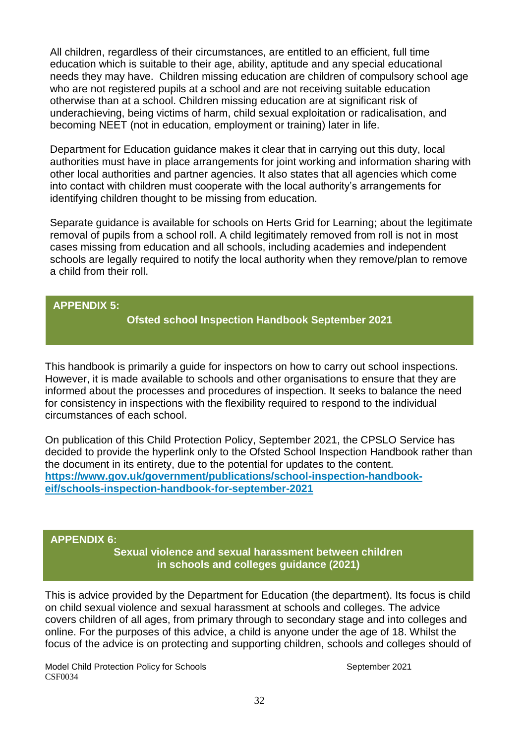All children, regardless of their circumstances, are entitled to an efficient, full time education which is suitable to their age, ability, aptitude and any special educational needs they may have. Children missing education are children of compulsory school age who are not registered pupils at a school and are not receiving suitable education otherwise than at a school. Children missing education are at significant risk of underachieving, being victims of harm, child sexual exploitation or radicalisation, and becoming NEET (not in education, employment or training) later in life.

Department for Education guidance makes it clear that in carrying out this duty, local authorities must have in place arrangements for joint working and information sharing with other local authorities and partner agencies. It also states that all agencies which come into contact with children must cooperate with the local authority's arrangements for identifying children thought to be missing from education.

Separate guidance is available for schools on Herts Grid for Learning; about the legitimate removal of pupils from a school roll. A child legitimately removed from roll is not in most cases missing from education and all schools, including academies and independent schools are legally required to notify the local authority when they remove/plan to remove a child from their roll.

### **APPENDIX 5:**

**Ofsted school Inspection Handbook September 2021**

This handbook is primarily a guide for inspectors on how to carry out school inspections. However, it is made available to schools and other organisations to ensure that they are informed about the processes and procedures of inspection. It seeks to balance the need for consistency in inspections with the flexibility required to respond to the individual circumstances of each school.

On publication of this Child Protection Policy, September 2021, the CPSLO Service has decided to provide the hyperlink only to the Ofsted School Inspection Handbook rather than the document in its entirety, due to the potential for updates to the content. **[https://www.gov.uk/government/publications/school-inspection-handbook](https://www.gov.uk/government/publications/school-inspection-handbook-eif/schools-inspection-handbook-for-september-2021)[eif/schools-inspection-handbook-for-september-2021](https://www.gov.uk/government/publications/school-inspection-handbook-eif/schools-inspection-handbook-for-september-2021)**

#### **APPENDIX 6:**

**Sexual violence and sexual harassment between children in schools and colleges guidance (2021)**

This is advice provided by the Department for Education (the department). Its focus is child on child sexual violence and sexual harassment at schools and colleges. The advice covers children of all ages, from primary through to secondary stage and into colleges and online. For the purposes of this advice, a child is anyone under the age of 18. Whilst the focus of the advice is on protecting and supporting children, schools and colleges should of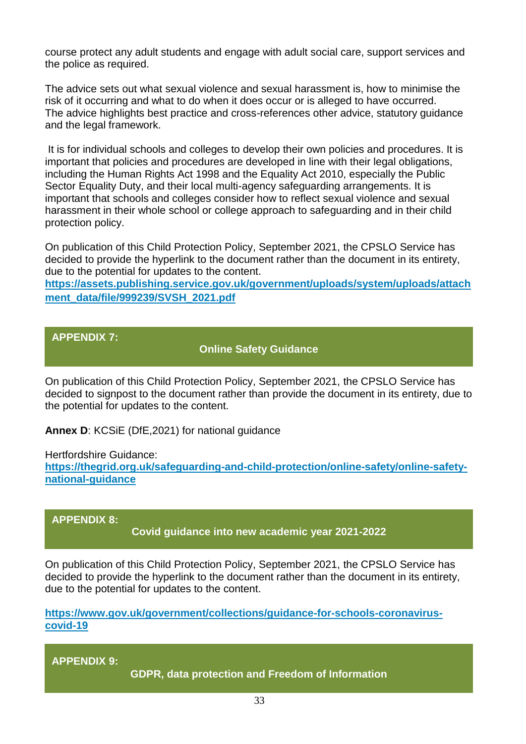course protect any adult students and engage with adult social care, support services and the police as required.

The advice sets out what sexual violence and sexual harassment is, how to minimise the risk of it occurring and what to do when it does occur or is alleged to have occurred. The advice highlights best practice and cross-references other advice, statutory guidance and the legal framework.

It is for individual schools and colleges to develop their own policies and procedures. It is important that policies and procedures are developed in line with their legal obligations, including the Human Rights Act 1998 and the Equality Act 2010, especially the Public Sector Equality Duty, and their local multi-agency safeguarding arrangements. It is important that schools and colleges consider how to reflect sexual violence and sexual harassment in their whole school or college approach to safeguarding and in their child protection policy.

On publication of this Child Protection Policy, September 2021, the CPSLO Service has decided to provide the hyperlink to the document rather than the document in its entirety, due to the potential for updates to the content.

**[https://assets.publishing.service.gov.uk/government/uploads/system/uploads/attach](https://assets.publishing.service.gov.uk/government/uploads/system/uploads/attachment_data/file/999239/SVSH_2021.pdf) [ment\\_data/file/999239/SVSH\\_2021.pdf](https://assets.publishing.service.gov.uk/government/uploads/system/uploads/attachment_data/file/999239/SVSH_2021.pdf)**

# **APPENDIX 7:**

**Online Safety Guidance**

On publication of this Child Protection Policy, September 2021, the CPSLO Service has decided to signpost to the document rather than provide the document in its entirety, due to the potential for updates to the content.

**Annex D**: KCSiE (DfE,2021) for national guidance

Hertfordshire Guidance:

**[https://thegrid.org.uk/safeguarding-and-child-protection/online-safety/online-safety](https://thegrid.org.uk/safeguarding-and-child-protection/online-safety/online-safety-national-guidance)[national-guidance](https://thegrid.org.uk/safeguarding-and-child-protection/online-safety/online-safety-national-guidance)**

#### **APPENDIX 8:**

**Covid guidance into new academic year 2021-2022**

On publication of this Child Protection Policy, September 2021, the CPSLO Service has decided to provide the hyperlink to the document rather than the document in its entirety, due to the potential for updates to the content.

**[https://www.gov.uk/government/collections/guidance-for-schools-coronavirus](https://www.gov.uk/government/collections/guidance-for-schools-coronavirus-covid-19)[covid-19](https://www.gov.uk/government/collections/guidance-for-schools-coronavirus-covid-19)**

**APPENDIX 9:**

Model Child Protection Policy for Schools September 2021 **GDPR, data protection and Freedom of Information**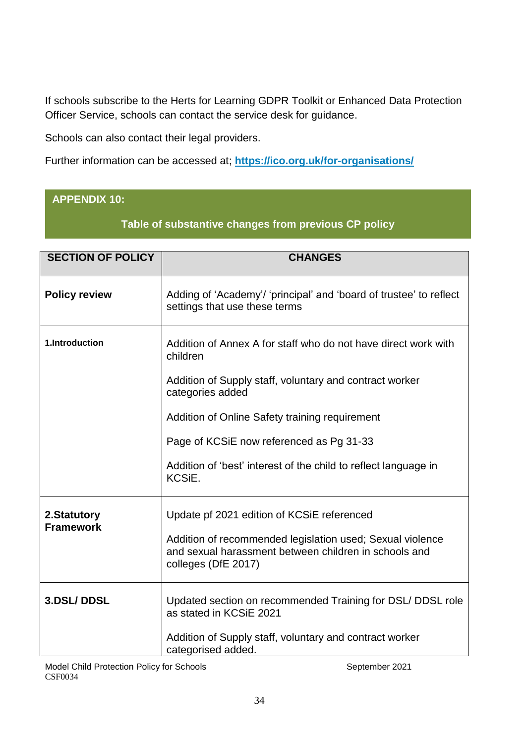If schools subscribe to the Herts for Learning GDPR Toolkit or Enhanced Data Protection Officer Service, schools can contact the service desk for guidance.

Schools can also contact their legal providers.

Further information can be accessed at; **<https://ico.org.uk/for-organisations/>**

# **APPENDIX 10:**

**Table of substantive changes from previous CP policy**

| <b>SECTION OF POLICY</b>        | <b>CHANGES</b>                                                                                                                            |
|---------------------------------|-------------------------------------------------------------------------------------------------------------------------------------------|
| <b>Policy review</b>            | Adding of 'Academy'/ 'principal' and 'board of trustee' to reflect<br>settings that use these terms                                       |
| 1.Introduction                  | Addition of Annex A for staff who do not have direct work with<br>children                                                                |
|                                 | Addition of Supply staff, voluntary and contract worker<br>categories added                                                               |
|                                 | Addition of Online Safety training requirement                                                                                            |
|                                 | Page of KCSiE now referenced as Pg 31-33                                                                                                  |
|                                 | Addition of 'best' interest of the child to reflect language in<br>KCSiE.                                                                 |
| 2.Statutory<br><b>Framework</b> | Update pf 2021 edition of KCSiE referenced                                                                                                |
|                                 | Addition of recommended legislation used; Sexual violence<br>and sexual harassment between children in schools and<br>colleges (DfE 2017) |
| 3.DSL/DDSL                      | Updated section on recommended Training for DSL/ DDSL role<br>as stated in KCSiE 2021                                                     |
|                                 | Addition of Supply staff, voluntary and contract worker<br>categorised added.                                                             |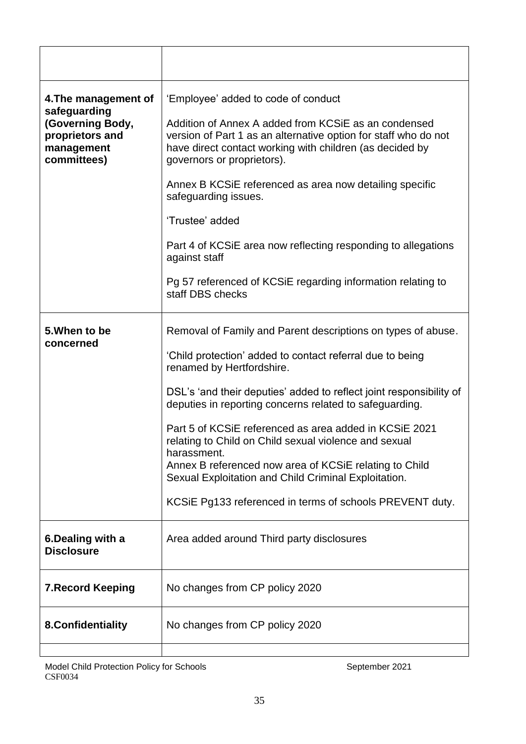| 4. The management of<br>safeguarding                             | 'Employee' added to code of conduct                                                                                                                                                                               |
|------------------------------------------------------------------|-------------------------------------------------------------------------------------------------------------------------------------------------------------------------------------------------------------------|
| (Governing Body,<br>proprietors and<br>management<br>committees) | Addition of Annex A added from KCSIE as an condensed<br>version of Part 1 as an alternative option for staff who do not<br>have direct contact working with children (as decided by<br>governors or proprietors). |
|                                                                  | Annex B KCSIE referenced as area now detailing specific<br>safeguarding issues.                                                                                                                                   |
|                                                                  | 'Trustee' added                                                                                                                                                                                                   |
|                                                                  | Part 4 of KCSiE area now reflecting responding to allegations<br>against staff                                                                                                                                    |
|                                                                  | Pg 57 referenced of KCSiE regarding information relating to<br>staff DBS checks                                                                                                                                   |
| 5. When to be<br>concerned                                       | Removal of Family and Parent descriptions on types of abuse.                                                                                                                                                      |
|                                                                  | 'Child protection' added to contact referral due to being<br>renamed by Hertfordshire.                                                                                                                            |
|                                                                  | DSL's 'and their deputies' added to reflect joint responsibility of<br>deputies in reporting concerns related to safeguarding.                                                                                    |
|                                                                  | Part 5 of KCSIE referenced as area added in KCSIE 2021<br>relating to Child on Child sexual violence and sexual                                                                                                   |
|                                                                  | harassment.<br>Annex B referenced now area of KCSiE relating to Child<br>Sexual Exploitation and Child Criminal Exploitation.                                                                                     |
|                                                                  | KCSIE Pg133 referenced in terms of schools PREVENT duty.                                                                                                                                                          |
| 6. Dealing with a<br><b>Disclosure</b>                           | Area added around Third party disclosures                                                                                                                                                                         |
| <b>7. Record Keeping</b>                                         | No changes from CP policy 2020                                                                                                                                                                                    |
| 8. Confidentiality                                               | No changes from CP policy 2020                                                                                                                                                                                    |
|                                                                  |                                                                                                                                                                                                                   |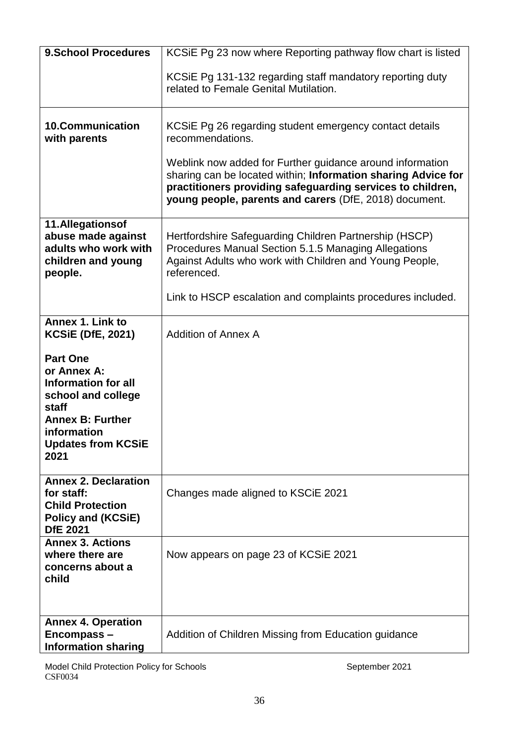| <b>9.School Procedures</b>                                                                                                                                                 | KCSIE Pg 23 now where Reporting pathway flow chart is listed                                                                                                                                                                                       |
|----------------------------------------------------------------------------------------------------------------------------------------------------------------------------|----------------------------------------------------------------------------------------------------------------------------------------------------------------------------------------------------------------------------------------------------|
|                                                                                                                                                                            | KCSIE Pg 131-132 regarding staff mandatory reporting duty<br>related to Female Genital Mutilation.                                                                                                                                                 |
| <b>10.Communication</b><br>with parents                                                                                                                                    | KCSIE Pg 26 regarding student emergency contact details<br>recommendations.                                                                                                                                                                        |
|                                                                                                                                                                            | Weblink now added for Further guidance around information<br>sharing can be located within; Information sharing Advice for<br>practitioners providing safeguarding services to children,<br>young people, parents and carers (DfE, 2018) document. |
| 11.Allegationsof<br>abuse made against<br>adults who work with<br>children and young<br>people.                                                                            | Hertfordshire Safeguarding Children Partnership (HSCP)<br>Procedures Manual Section 5.1.5 Managing Allegations<br>Against Adults who work with Children and Young People,<br>referenced.                                                           |
|                                                                                                                                                                            | Link to HSCP escalation and complaints procedures included.                                                                                                                                                                                        |
| Annex 1. Link to<br><b>KCSiE (DfE, 2021)</b>                                                                                                                               | <b>Addition of Annex A</b>                                                                                                                                                                                                                         |
| <b>Part One</b><br>or Annex A:<br><b>Information for all</b><br>school and college<br>staff<br><b>Annex B: Further</b><br>information<br><b>Updates from KCSiE</b><br>2021 |                                                                                                                                                                                                                                                    |
| <b>Annex 2. Declaration</b><br>for staff:<br><b>Child Protection</b><br>Policy and (KCSiE)<br><b>DfE 2021</b>                                                              | Changes made aligned to KSCIE 2021                                                                                                                                                                                                                 |
| <b>Annex 3. Actions</b><br>where there are<br>concerns about a<br>child                                                                                                    | Now appears on page 23 of KCSiE 2021                                                                                                                                                                                                               |
| <b>Annex 4. Operation</b><br>Encompass-<br><b>Information sharing</b>                                                                                                      | Addition of Children Missing from Education guidance                                                                                                                                                                                               |